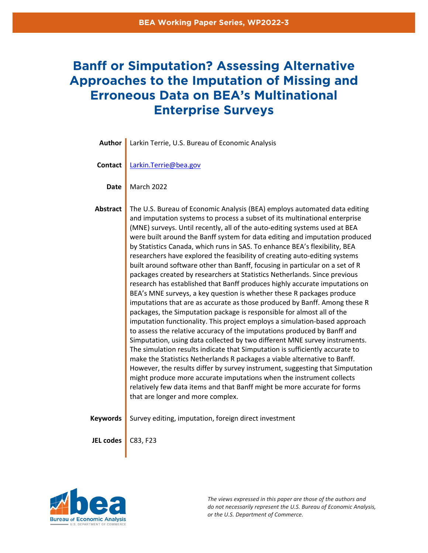# **Banff or Simputation? Assessing Alternative Approaches to the Imputation of Missing and Erroneous Data on BEA's Multinational Enterprise Surveys**

| Author           | Larkin Terrie, U.S. Bureau of Economic Analysis                                                                                                                                                                                                                                                                                                                                                                                                                                                                                                                                                                                                                                                                                                                                                                                                                                                                                                                                                                                                                                                                                                                                                                                                                                                                                                                                                                                                                                                                                                                                                                                               |
|------------------|-----------------------------------------------------------------------------------------------------------------------------------------------------------------------------------------------------------------------------------------------------------------------------------------------------------------------------------------------------------------------------------------------------------------------------------------------------------------------------------------------------------------------------------------------------------------------------------------------------------------------------------------------------------------------------------------------------------------------------------------------------------------------------------------------------------------------------------------------------------------------------------------------------------------------------------------------------------------------------------------------------------------------------------------------------------------------------------------------------------------------------------------------------------------------------------------------------------------------------------------------------------------------------------------------------------------------------------------------------------------------------------------------------------------------------------------------------------------------------------------------------------------------------------------------------------------------------------------------------------------------------------------------|
| <b>Contact</b>   | Larkin.Terrie@bea.gov                                                                                                                                                                                                                                                                                                                                                                                                                                                                                                                                                                                                                                                                                                                                                                                                                                                                                                                                                                                                                                                                                                                                                                                                                                                                                                                                                                                                                                                                                                                                                                                                                         |
| <b>Date</b>      | <b>March 2022</b>                                                                                                                                                                                                                                                                                                                                                                                                                                                                                                                                                                                                                                                                                                                                                                                                                                                                                                                                                                                                                                                                                                                                                                                                                                                                                                                                                                                                                                                                                                                                                                                                                             |
| <b>Abstract</b>  | The U.S. Bureau of Economic Analysis (BEA) employs automated data editing<br>and imputation systems to process a subset of its multinational enterprise<br>(MNE) surveys. Until recently, all of the auto-editing systems used at BEA<br>were built around the Banff system for data editing and imputation produced<br>by Statistics Canada, which runs in SAS. To enhance BEA's flexibility, BEA<br>researchers have explored the feasibility of creating auto-editing systems<br>built around software other than Banff, focusing in particular on a set of R<br>packages created by researchers at Statistics Netherlands. Since previous<br>research has established that Banff produces highly accurate imputations on<br>BEA's MNE surveys, a key question is whether these R packages produce<br>imputations that are as accurate as those produced by Banff. Among these R<br>packages, the Simputation package is responsible for almost all of the<br>imputation functionality. This project employs a simulation-based approach<br>to assess the relative accuracy of the imputations produced by Banff and<br>Simputation, using data collected by two different MNE survey instruments.<br>The simulation results indicate that Simputation is sufficiently accurate to<br>make the Statistics Netherlands R packages a viable alternative to Banff.<br>However, the results differ by survey instrument, suggesting that Simputation<br>might produce more accurate imputations when the instrument collects<br>relatively few data items and that Banff might be more accurate for forms<br>that are longer and more complex. |
| <b>Keywords</b>  | Survey editing, imputation, foreign direct investment                                                                                                                                                                                                                                                                                                                                                                                                                                                                                                                                                                                                                                                                                                                                                                                                                                                                                                                                                                                                                                                                                                                                                                                                                                                                                                                                                                                                                                                                                                                                                                                         |
| <b>JEL codes</b> | C83, F23                                                                                                                                                                                                                                                                                                                                                                                                                                                                                                                                                                                                                                                                                                                                                                                                                                                                                                                                                                                                                                                                                                                                                                                                                                                                                                                                                                                                                                                                                                                                                                                                                                      |



*The views expressed in this paper are those of the authors and do not necessarily represent the U.S. Bureau of Economic Analysis, or the U.S. Department of Commerce.*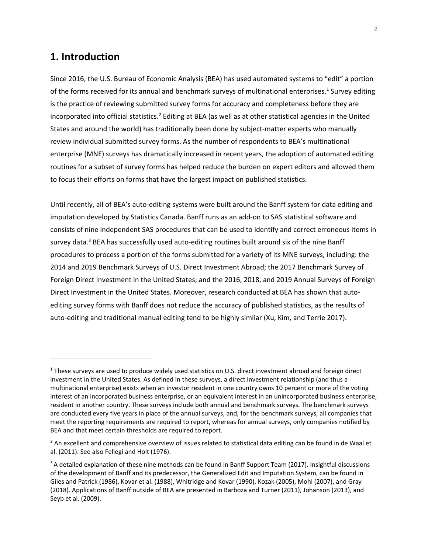# **1. Introduction**

Since 2016, the U.S. Bureau of Economic Analysis (BEA) has used automated systems to "edit" a portion of the forms received for its annual and benchmark surveys of multinational enterprises.<sup>1</sup> Survey editing is the practice of reviewing submitted survey forms for accuracy and completeness before they are incorporated into official statistics.<sup>2</sup> Editing at BEA (as well as at other statistical agencies in the United States and around the world) has traditionally been done by subject-matter experts who manually review individual submitted survey forms. As the number of respondents to BEA's multinational enterprise (MNE) surveys has dramatically increased in recent years, the adoption of automated editing routines for a subset of survey forms has helped reduce the burden on expert editors and allowed them to focus their efforts on forms that have the largest impact on published statistics.

Until recently, all of BEA's auto-editing systems were built around the Banff system for data editing and imputation developed by Statistics Canada. Banff runs as an add-on to SAS statistical software and consists of nine independent SAS procedures that can be used to identify and correct erroneous items in survey data.<sup>3</sup> BEA has successfully used auto-editing routines built around six of the nine Banff procedures to process a portion of the forms submitted for a variety of its MNE surveys, including: the 2014 and 2019 Benchmark Surveys of U.S. Direct Investment Abroad; the 2017 Benchmark Survey of Foreign Direct Investment in the United States; and the 2016, 2018, and 2019 Annual Surveys of Foreign Direct Investment in the United States. Moreover, research conducted at BEA has shown that autoediting survey forms with Banff does not reduce the accuracy of published statistics, as the results of auto-editing and traditional manual editing tend to be highly similar (Xu, Kim, and Terrie 2017).

 $1$  These surveys are used to produce widely used statistics on U.S. direct investment abroad and foreign direct investment in the United States. As defined in these surveys, a direct investment relationship (and thus a multinational enterprise) exists when an investor resident in one country owns 10 percent or more of the voting interest of an incorporated business enterprise, or an equivalent interest in an unincorporated business enterprise, resident in another country. These surveys include both annual and benchmark surveys. The benchmark surveys are conducted every five years in place of the annual surveys, and, for the benchmark surveys, all companies that meet the reporting requirements are required to report, whereas for annual surveys, only companies notified by BEA and that meet certain thresholds are required to report.

 $^2$  An excellent and comprehensive overview of issues related to statistical data editing can be found in de Waal et al. (2011). See also Fellegi and Holt (1976).

<sup>&</sup>lt;sup>3</sup> A detailed explanation of these nine methods can be found in Banff Support Team (2017). Insightful discussions of the development of Banff and its predecessor, the Generalized Edit and Imputation System, can be found in Giles and Patrick (1986), Kovar et al. (1988), Whitridge and Kovar (1990), Kozak (2005), Mohl (2007), and Gray (2018). Applications of Banff outside of BEA are presented in Barboza and Turner (2011), Johanson (2013), and Seyb et al. (2009).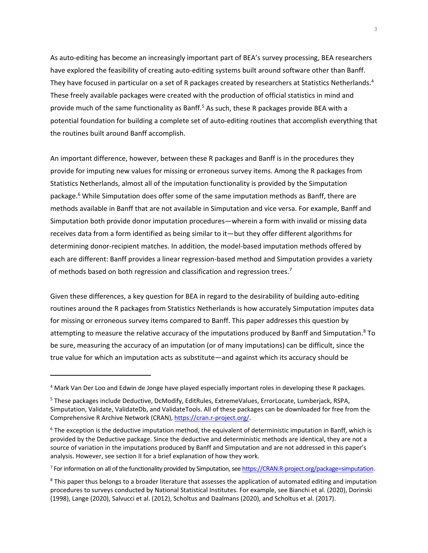As auto-editing has become an increasingly important part of BEA's survey processing, BEA researchers have explored the feasibility of creating auto-editing systems built around software other than Banff. They have focused in particular on a set of R packages created by researchers at Statistics Netherlands.<sup>4</sup> These freely available packages were created with the production of official statistics in mind and provide much of the same functionality as Banff.<sup>5</sup> As such, these R packages provide BEA with a potential foundation for building a complete set of auto-editing routines that accomplish everything that the routines built around Banff accomplish.

An important difference, however, between these R packages and Banff is in the procedures they provide for imputing new values for missing or erroneous survey items. Among the R packages from Statistics Netherlands, almost all of the imputation functionality is provided by the Simputation package.<sup>6</sup> While Simputation does offer some of the same imputation methods as Banff, there are methods available in Banff that are not available in Simputation and vice versa. For example, Banff and Simputation both provide donor imputation procedures—wherein a form with invalid or missing data receives data from a form identified as being similar to it—but they offer different algorithms for determining donor-recipient matches. In addition, the model-based imputation methods offered by each are different: Banff provides a linear regression-based method and Simputation provides a variety of methods based on both regression and classification and regression trees.<sup>7</sup>

Given these differences, a key question for BEA in regard to the desirability of building auto-editing routines around the R packages from Statistics Netherlands is how accurately Simputation imputes data for missing or erroneous survey items compared to Banff. This paper addresses this question by attempting to measure the relative accuracy of the imputations produced by Banff and Simputation.<sup>8</sup> To be sure, measuring the accuracy of an imputation (or of many imputations) can be difficult, since the true value for which an imputation acts as substitute—and against which its accuracy should be

<sup>&</sup>lt;sup>4</sup> Mark Van Der Loo and Edwin de Jonge have played especially important roles in developing these R packages.

<sup>&</sup>lt;sup>5</sup> These packages include Deductive, DcModify, EditRules, ExtremeValues, ErrorLocate, Lumberjack, RSPA, Simputation, Validate, ValidateDb, and ValidateTools. All of these packages can be downloaded for free from the Comprehensive R Archive Network (CRAN), [https://cran.r-project.org/](https://cran.r-project.org).

<sup>6</sup> The exception is the deductive imputation method, the equivalent of deterministic imputation in Banff, which is provided by the Deductive package. Since the deductive and deterministic methods are identical, they are not a source of variation in the imputations produced by Banff and Simputation and are not addressed in this paper's analysis. However, see section II for a brief explanation of how they work.

<sup>&</sup>lt;sup>7</sup> For information on all of the functionality provided by Simputation, see <https://CRAN.R-project.org/package=simputation>.

 $^8$  This paper thus belongs to a broader literature that assesses the application of automated editing and imputation procedures to surveys conducted by National Statistical Institutes. For example, see Bianchi et al. (2020), Dorinski (1998), Lange (2020), Salvucci et al. (2012), Scholtus and Daalmans (2020), and Scholtus et al. (2017).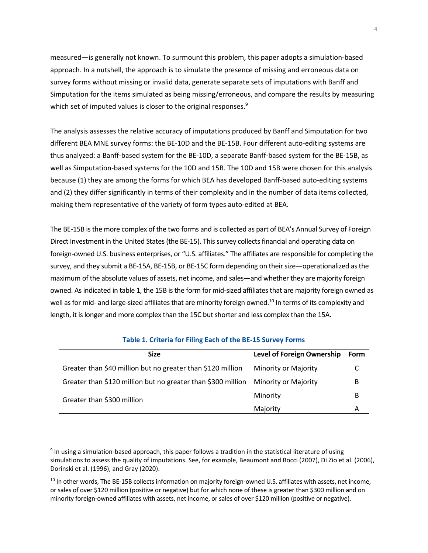which set of imputed values is closer to the original responses.<sup>9</sup> measured—is generally not known. To surmount this problem, this paper adopts a simulation-based approach. In a nutshell, the approach is to simulate the presence of missing and erroneous data on survey forms without missing or invalid data, generate separate sets of imputations with Banff and Simputation for the items simulated as being missing/erroneous, and compare the results by measuring

making them representative of the variety of form types auto-edited at BEA. The analysis assesses the relative accuracy of imputations produced by Banff and Simputation for two different BEA MNE survey forms: the BE-10D and the BE-15B. Four different auto-editing systems are thus analyzed: a Banff-based system for the BE-10D, a separate Banff-based system for the BE-15B, as well as Simputation-based systems for the 10D and 15B. The 10D and 15B were chosen for this analysis because (1) they are among the forms for which BEA has developed Banff-based auto-editing systems and (2) they differ significantly in terms of their complexity and in the number of data items collected,

The BE-15B is the more complex of the two forms and is collected as part of BEA's Annual Survey of Foreign Direct Investment in the United States (the BE-15). This survey collects financial and operating data on foreign-owned U.S. business enterprises, or "U.S. affiliates." The affiliates are responsible for completing the survey, and they submit a BE-15A, BE-15B, or BE-15C form depending on their size—operationalized as the maximum of the absolute values of assets, net income, and sales—and whether they are majority foreign owned. As indicated in table 1, the 15B is the form for mid-sized affiliates that are majority foreign owned as well as for mid- and large-sized affiliates that are minority foreign owned.<sup>10</sup> In terms of its complexity and length, it is longer and more complex than the 15C but shorter and less complex than the 15A.

| <b>Size</b>                                                  | <b>Level of Foreign Ownership</b> | Form |
|--------------------------------------------------------------|-----------------------------------|------|
| Greater than \$40 million but no greater than \$120 million  | Minority or Majority              |      |
| Greater than \$120 million but no greater than \$300 million | <b>Minority or Majority</b>       | B    |
| Greater than \$300 million                                   | Minority                          | B    |
|                                                              | Majority                          | A    |

## **Table 1. Criteria for Filing Each of the BE-15 Survey Forms**

<sup>&</sup>lt;sup>9</sup> In using a simulation-based approach, this paper follows a tradition in the statistical literature of using simulations to assess the quality of imputations. See, for example, Beaumont and Bocci (2007), Di Zio et al. (2006), Dorinski et al. (1996), and Gray (2020).

<sup>&</sup>lt;sup>10</sup> In other words, The BE-15B collects information on majority foreign-owned U.S. affiliates with assets, net income, or sales of over \$120 million (positive or negative) but for which none of these is greater than \$300 million and on minority foreign-owned affiliates with assets, net income, or sales of over \$120 million (positive or negative).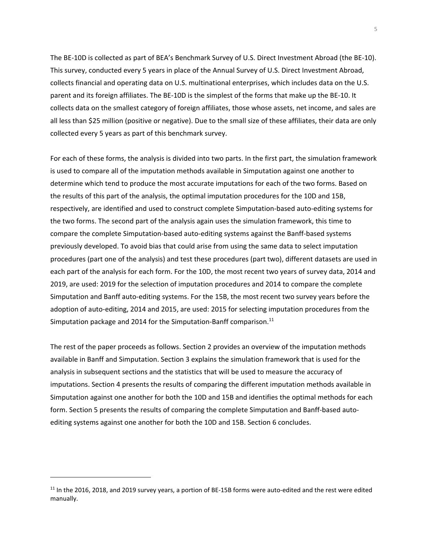This survey, conducted every 5 years in place of the Annual Survey of U.S. Direct Investment Abroad, The BE-10D is collected as part of BEA's Benchmark Survey of U.S. Direct Investment Abroad (the BE-10). collects financial and operating data on U.S. multinational enterprises, which includes data on the U.S. parent and its foreign affiliates. The BE-10D is the simplest of the forms that make up the BE-10. It collects data on the smallest category of foreign affiliates, those whose assets, net income, and sales are all less than \$25 million (positive or negative). Due to the small size of these affiliates, their data are only collected every 5 years as part of this benchmark survey.

For each of these forms, the analysis is divided into two parts. In the first part, the simulation framework is used to compare all of the imputation methods available in Simputation against one another to determine which tend to produce the most accurate imputations for each of the two forms. Based on the results of this part of the analysis, the optimal imputation procedures for the 10D and 15B, respectively, are identified and used to construct complete Simputation-based auto-editing systems for the two forms. The second part of the analysis again uses the simulation framework, this time to compare the complete Simputation-based auto-editing systems against the Banff-based systems previously developed. To avoid bias that could arise from using the same data to select imputation procedures (part one of the analysis) and test these procedures (part two), different datasets are used in each part of the analysis for each form. For the 10D, the most recent two years of survey data, 2014 and 2019, are used: 2019 for the selection of imputation procedures and 2014 to compare the complete Simputation and Banff auto-editing systems. For the 15B, the most recent two survey years before the adoption of auto-editing, 2014 and 2015, are used: 2015 for selecting imputation procedures from the Simputation package and 2014 for the Simputation-Banff comparison.<sup>11</sup>

 analysis in subsequent sections and the statistics that will be used to measure the accuracy of The rest of the paper proceeds as follows. Section 2 provides an overview of the imputation methods available in Banff and Simputation. Section 3 explains the simulation framework that is used for the imputations. Section 4 presents the results of comparing the different imputation methods available in Simputation against one another for both the 10D and 15B and identifies the optimal methods for each form. Section 5 presents the results of comparing the complete Simputation and Banff-based autoediting systems against one another for both the 10D and 15B. Section 6 concludes.

<sup>&</sup>lt;sup>11</sup> In the 2016, 2018, and 2019 survey years, a portion of BE-15B forms were auto-edited and the rest were edited manually.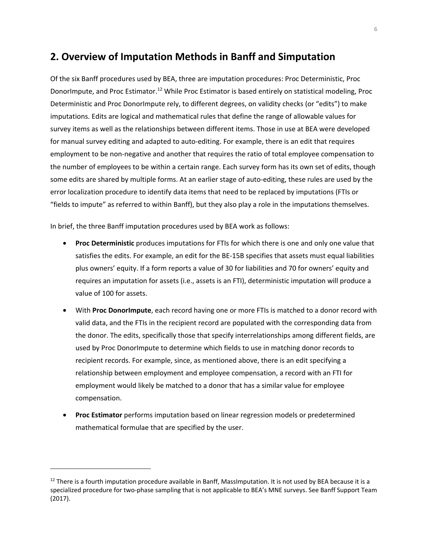# **2. Overview of Imputation Methods in Banff and Simputation**

Of the six Banff procedures used by BEA, three are imputation procedures: Proc Deterministic, Proc DonorImpute, and Proc [Estimator.12](https://Estimator.12) While Proc Estimator is based entirely on statistical modeling, Proc Deterministic and Proc DonorImpute rely, to different degrees, on validity checks (or "edits") to make imputations. Edits are logical and mathematical rules that define the range of allowable values for survey items as well as the relationships between different items. Those in use at BEA were developed for manual survey editing and adapted to auto-editing. For example, there is an edit that requires employment to be non-negative and another that requires the ratio of total employee compensation to the number of employees to be within a certain range. Each survey form has its own set of edits, though some edits are shared by multiple forms. At an earlier stage of auto-editing, these rules are used by the error localization procedure to identify data items that need to be replaced by imputations (FTIs or "fields to impute" as referred to within Banff), but they also play a role in the imputations themselves.

In brief, the three Banff imputation procedures used by BEA work as follows:

- **Proc Deterministic** produces imputations for FTIs for which there is one and only one value that satisfies the edits. For example, an edit for the BE-15B specifies that assets must equal liabilities plus owners' equity. If a form reports a value of 30 for liabilities and 70 for owners' equity and requires an imputation for assets (i.e., assets is an FTI), deterministic imputation will produce a value of 100 for assets.
- With **Proc DonorImpute**, each record having one or more FTIs is matched to a donor record with valid data, and the FTIs in the recipient record are populated with the corresponding data from the donor. The edits, specifically those that specify interrelationships among different fields, are used by Proc DonorImpute to determine which fields to use in matching donor records to recipient records. For example, since, as mentioned above, there is an edit specifying a relationship between employment and employee compensation, a record with an FTI for employment would likely be matched to a donor that has a similar value for employee compensation.
- **Proc Estimator** performs imputation based on linear regression models or predetermined mathematical formulae that are specified by the user.

 $12$  There is a fourth imputation procedure available in Banff, MassImputation. It is not used by BEA because it is a specialized procedure for two-phase sampling that is not applicable to BEA's MNE surveys. See Banff Support Team (2017).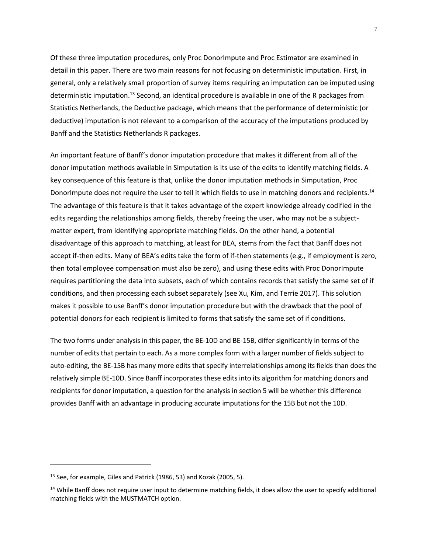Banff and the Statistics Netherlands R packages. Of these three imputation procedures, only Proc DonorImpute and Proc Estimator are examined in detail in this paper. There are two main reasons for not focusing on deterministic imputation. First, in general, only a relatively small proportion of survey items requiring an imputation can be imputed using deterministic [imputation.13](https://imputation.13) Second, an identical procedure is available in one of the R packages from Statistics Netherlands, the Deductive package, which means that the performance of deterministic (or deductive) imputation is not relevant to a comparison of the accuracy of the imputations produced by

An important feature of Banff's donor imputation procedure that makes it different from all of the donor imputation methods available in Simputation is its use of the edits to identify matching fields. A key consequence of this feature is that, unlike the donor imputation methods in Simputation, Proc DonorImpute does not require the user to tell it which fields to use in matching donors and recipients.<sup>14</sup> The advantage of this feature is that it takes advantage of the expert knowledge already codified in the edits regarding the relationships among fields, thereby freeing the user, who may not be a subjectmatter expert, from identifying appropriate matching fields. On the other hand, a potential disadvantage of this approach to matching, at least for BEA, stems from the fact that Banff does not accept if-then edits. Many of BEA's edits take the form of if-then statements (e.g., if employment is zero, then total employee compensation must also be zero), and using these edits with Proc DonorImpute requires partitioning the data into subsets, each of which contains records that satisfy the same set of if conditions, and then processing each subset separately (see Xu, Kim, and Terrie 2017). This solution makes it possible to use Banff's donor imputation procedure but with the drawback that the pool of potential donors for each recipient is limited to forms that satisfy the same set of if conditions.

 The two forms under analysis in this paper, the BE-10D and BE-15B, differ significantly in terms of the number of edits that pertain to each. As a more complex form with a larger number of fields subject to auto-editing, the BE-15B has many more edits that specify interrelationships among its fields than does the relatively simple BE-10D. Since Banff incorporates these edits into its algorithm for matching donors and recipients for donor imputation, a question for the analysis in section 5 will be whether this difference provides Banff with an advantage in producing accurate imputations for the 15B but not the 10D.

 $^{13}$  See, for example, Giles and Patrick (1986, 53) and Kozak (2005, 5).

 $14$  While Banff does not require user input to determine matching fields, it does allow the user to specify additional matching fields with the MUSTMATCH option.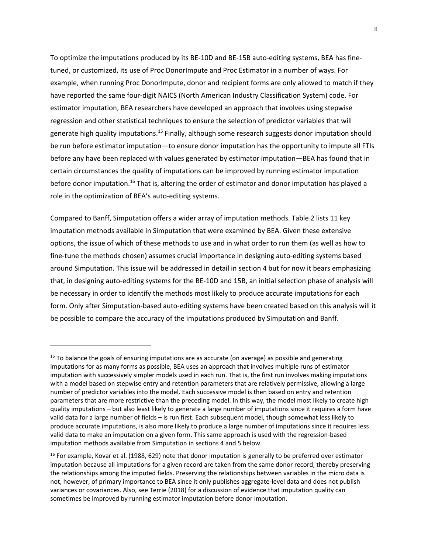To optimize the imputations produced by its BE-10D and BE-15B auto-editing systems, BEA has finetuned, or customized, its use of Proc DonorImpute and Proc Estimator in a number of ways. For example, when running Proc DonorImpute, donor and recipient forms are only allowed to match if they have reported the same four-digit NAICS (North American Industry Classification System) code. For estimator imputation, BEA researchers have developed an approach that involves using stepwise regression and other statistical techniques to ensure the selection of predictor variables that will generate high quality [imputations.15](https://imputations.15) Finally, although some research suggests donor imputation should be run before estimator imputation—to ensure donor imputation has the opportunity to impute all FTIs before any have been replaced with values generated by estimator imputation—BEA has found that in certain circumstances the quality of imputations can be improved by running estimator imputation before donor imputation.<sup>16</sup> That is, altering the order of estimator and donor imputation has played a role in the optimization of BEA's auto-editing systems.

Compared to Banff, Simputation offers a wider array of imputation methods. Table 2 lists 11 key imputation methods available in Simputation that were examined by BEA. Given these extensive options, the issue of which of these methods to use and in what order to run them (as well as how to fine-tune the methods chosen) assumes crucial importance in designing auto-editing systems based around Simputation. This issue will be addressed in detail in section 4 but for now it bears emphasizing that, in designing auto-editing systems for the BE-10D and 15B, an initial selection phase of analysis will be necessary in order to identify the methods most likely to produce accurate imputations for each form. Only after Simputation-based auto-editing systems have been created based on this analysis will it be possible to compare the accuracy of the imputations produced by Simputation and Banff.

 $15$  To balance the goals of ensuring imputations are as accurate (on average) as possible and generating imputations for as many forms as possible, BEA uses an approach that involves multiple runs of estimator imputation with successively simpler models used in each run. That is, the first run involves making imputations with a model based on stepwise entry and retention parameters that are relatively permissive, allowing a large number of predictor variables into the model. Each successive model is then based on entry and retention parameters that are more restrictive than the preceding model. In this way, the model most likely to create high quality imputations – but also least likely to generate a large number of imputations since it requires a form have valid data for a large number of fields – is run first. Each subsequent model, though somewhat less likely to produce accurate imputations, is also more likely to produce a large number of imputations since it requires less valid data to make an imputation on a given form. This same approach is used with the regression-based imputation methods available from Simputation in sections 4 and 5 below.

<sup>&</sup>lt;sup>16</sup> For example, Kovar et al. (1988, 629) note that donor imputation is generally to be preferred over estimator imputation because all imputations for a given record are taken from the same donor record, thereby preserving the relationships among the imputed fields. Preserving the relationships between variables in the micro data is not, however, of primary importance to BEA since it only publishes aggregate-level data and does not publish variances or covariances. Also, see Terrie (2018) for a discussion of evidence that imputation quality can sometimes be improved by running estimator imputation before donor imputation.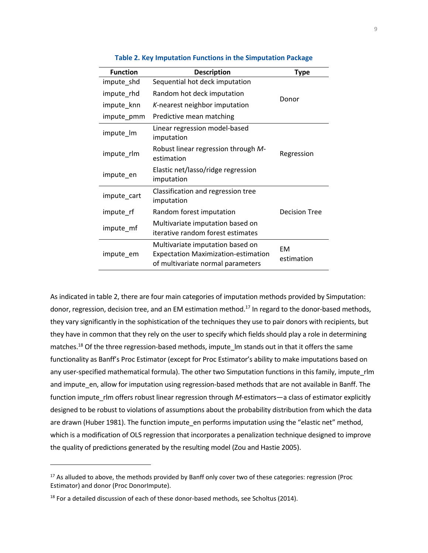| <b>Function</b> | <b>Description</b>                                                                                                  | <b>Type</b>             |
|-----------------|---------------------------------------------------------------------------------------------------------------------|-------------------------|
| impute_shd      | Sequential hot deck imputation                                                                                      |                         |
| impute rhd      | Random hot deck imputation                                                                                          | Donor                   |
| impute_knn      | K-nearest neighbor imputation                                                                                       |                         |
| impute_pmm      | Predictive mean matching                                                                                            |                         |
| impute_lm       | Linear regression model-based<br>imputation                                                                         |                         |
| impute rlm      | Robust linear regression through M-<br>estimation                                                                   | Regression              |
| impute_en       | Elastic net/lasso/ridge regression<br>imputation                                                                    |                         |
| impute_cart     | Classification and regression tree<br>imputation                                                                    |                         |
| impute_rf       | Random forest imputation                                                                                            | <b>Decision Tree</b>    |
| impute_mf       | Multivariate imputation based on<br>iterative random forest estimates                                               |                         |
| impute_em       | Multivariate imputation based on<br><b>Expectation Maximization-estimation</b><br>of multivariate normal parameters | <b>EM</b><br>estimation |

#### **Table 2. Key Imputation Functions in the Simputation Package**

 As indicated in table 2, there are four main categories of imputation methods provided by Simputation: donor, regression, decision tree, and an EM estimation method.<sup>17</sup> In regard to the donor-based methods, they vary significantly in the sophistication of the techniques they use to pair donors with recipients, but they have in common that they rely on the user to specify which fields should play a role in determining functionality as Banff's Proc Estimator (except for Proc Estimator's ability to make imputations based on and impute\_en, allow for imputation using regression-based methods that are not available in Banff. The function impute\_rlm offers robust linear regression through *M*-estimators—a class of estimator explicitly designed to be robust to violations of assumptions about the probability distribution from which the data which is a modification of OLS regression that incorporates a penalization technique designed to improve matches.<sup>18</sup> Of the three regression-based methods, impute  $\,$  Im stands out in that it offers the same any user-specified mathematical formula). The other two Simputation functions in this family, impute\_rlm are drawn (Huber 1981). The function impute\_en performs imputation using the "elastic net" method, the quality of predictions generated by the resulting model (Zou and Hastie 2005).

<sup>&</sup>lt;sup>17</sup> As alluded to above, the methods provided by Banff only cover two of these categories: regression (Proc Estimator) and donor (Proc DonorImpute).

 $18$  For a detailed discussion of each of these donor-based methods, see Scholtus (2014).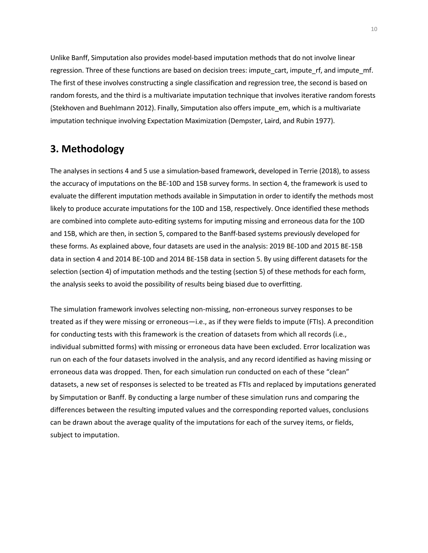Unlike Banff, Simputation also provides model-based imputation methods that do not involve linear regression. Three of these functions are based on decision trees: impute\_cart, impute\_rf, and impute\_mf. The first of these involves constructing a single classification and regression tree, the second is based on random forests, and the third is a multivariate imputation technique that involves iterative random forests (Stekhoven and Buehlmann 2012). Finally, Simputation also offers impute\_em, which is a multivariate imputation technique involving Expectation Maximization (Dempster, Laird, and Rubin 1977).

# **3. Methodology**

 The analyses in sections 4 and 5 use a simulation-based framework, developed in Terrie (2018), to assess are combined into complete auto-editing systems for imputing missing and erroneous data for the 10D and 15B, which are then, in section 5, compared to the Banff-based systems previously developed for data in section 4 and 2014 BE-10D and 2014 BE-15B data in section 5. By using different datasets for the the accuracy of imputations on the BE-10D and 15B survey forms. In section 4, the framework is used to evaluate the different imputation methods available in Simputation in order to identify the methods most likely to produce accurate imputations for the 10D and 15B, respectively. Once identified these methods these forms. As explained above, four datasets are used in the analysis: 2019 BE-10D and 2015 BE-15B selection (section 4) of imputation methods and the testing (section 5) of these methods for each form, the analysis seeks to avoid the possibility of results being biased due to overfitting.

The simulation framework involves selecting non-missing, non-erroneous survey responses to be treated as if they were missing or erroneous—i.e., as if they were fields to impute (FTIs). A precondition for conducting tests with this framework is the creation of datasets from which all records (i.e., individual submitted forms) with missing or erroneous data have been excluded. Error localization was run on each of the four datasets involved in the analysis, and any record identified as having missing or erroneous data was dropped. Then, for each simulation run conducted on each of these "clean" datasets, a new set of responses is selected to be treated as FTIs and replaced by imputations generated by Simputation or Banff. By conducting a large number of these simulation runs and comparing the differences between the resulting imputed values and the corresponding reported values, conclusions can be drawn about the average quality of the imputations for each of the survey items, or fields, subject to imputation.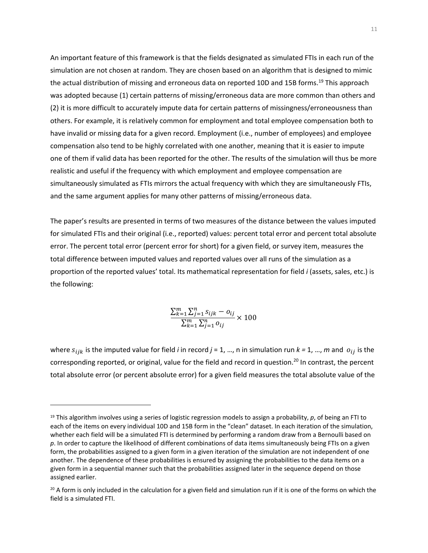An important feature of this framework is that the fields designated as simulated FTIs in each run of the simulation are not chosen at random. They are chosen based on an algorithm that is designed to mimic the actual distribution of missing and erroneous data on reported 10D and 15B [forms.19](https://forms.19) This approach was adopted because (1) certain patterns of missing/erroneous data are more common than others and (2) it is more difficult to accurately impute data for certain patterns of missingness/erroneousness than others. For example, it is relatively common for employment and total employee compensation both to have invalid or missing data for a given record. Employment (i.e., number of employees) and employee compensation also tend to be highly correlated with one another, meaning that it is easier to impute one of them if valid data has been reported for the other. The results of the simulation will thus be more realistic and useful if the frequency with which employment and employee compensation are simultaneously simulated as FTIs mirrors the actual frequency with which they are simultaneously FTIs, and the same argument applies for many other patterns of missing/erroneous data.

The paper's results are presented in terms of two measures of the distance between the values imputed for simulated FTIs and their original (i.e., reported) values: percent total error and percent total absolute error. The percent total error (percent error for short) for a given field, or survey item, measures the total difference between imputed values and reported values over all runs of the simulation as a proportion of the reported values' total. Its mathematical representation for field *i* (assets, sales, etc.) is the following:

$$
\frac{\sum_{k=1}^{m} \sum_{j=1}^{n} s_{ijk} - o_{ij}}{\sum_{k=1}^{m} \sum_{j=1}^{n} o_{ij}} \times 100
$$

where  $s_{ijk}$  is the imputed value for field *i* in record  $j = 1, ..., n$  in simulation run  $k = 1, ..., m$  and  $o_{ij}$  is the corresponding reported, or original, value for the field and record in question.<sup>20</sup> In contrast, the percent total absolute error (or percent absolute error) for a given field measures the total absolute value of the

<sup>19</sup> This algorithm involves using a series of logistic regression models to assign a probability, *p*, of being an FTI to each of the items on every individual 10D and 15B form in the "clean" dataset. In each iteration of the simulation, whether each field will be a simulated FTI is determined by performing a random draw from a Bernoulli based on *p*. In order to capture the likelihood of different combinations of data items simultaneously being FTIs on a given form, the probabilities assigned to a given form in a given iteration of the simulation are not independent of one another. The dependence of these probabilities is ensured by assigning the probabilities to the data items on a given form in a sequential manner such that the probabilities assigned later in the sequence depend on those assigned earlier.

 $20$  A form is only included in the calculation for a given field and simulation run if it is one of the forms on which the field is a simulated FTI.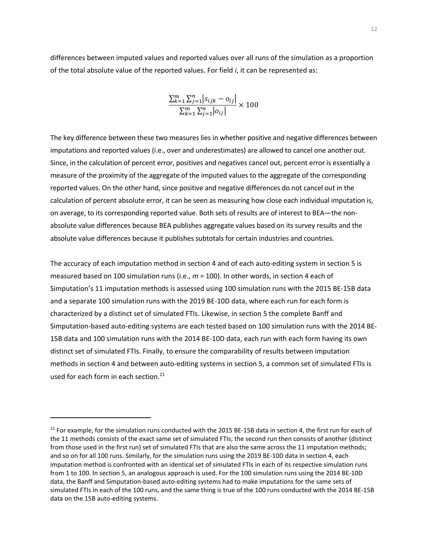differences between imputed values and reported values over all runs of the simulation as a proportion of the total absolute value of the reported values. For field *i*, it can be represented as:

$$
\frac{\sum_{k=1}^{m} \sum_{j=1}^{n} |s_{ijk} - o_{ij}|}{\sum_{k=1}^{m} \sum_{j=1}^{n} |o_{ij}|} \times 100
$$

 The key difference between these two measures lies in whether positive and negative differences between reported values. On the other hand, since positive and negative differences do not cancel out in the on average, to its corresponding reported value. Both sets of results are of interest to BEA—the non- absolute value differences because BEA publishes aggregate values based on its survey results and the imputations and reported values (i.e., over and underestimates) are allowed to cancel one another out. Since, in the calculation of percent error, positives and negatives cancel out, percent error is essentially a measure of the proximity of the aggregate of the imputed values to the aggregate of the corresponding calculation of percent absolute error, it can be seen as measuring how close each individual imputation is, absolute value differences because it publishes subtotals for certain industries and countries.

used for each form in each section.<sup>21</sup> The accuracy of each imputation method in section 4 and of each auto-editing system in section 5 is measured based on 100 simulation runs (i.e., *m* = 100). In other words, in section 4 each of Simputation's 11 imputation methods is assessed using 100 simulation runs with the 2015 BE-15B data and a separate 100 simulation runs with the 2019 BE-10D data, where each run for each form is characterized by a distinct set of simulated FTIs. Likewise, in section 5 the complete Banff and Simputation-based auto-editing systems are each tested based on 100 simulation runs with the 2014 BE-15B data and 100 simulation runs with the 2014 BE-10D data, each run with each form having its own distinct set of simulated FTIs. Finally, to ensure the comparability of results between imputation methods in section 4 and between auto-editing systems in section 5, a common set of simulated FTIs is

 $21$  For example, for the simulation runs conducted with the 2015 BE-15B data in section 4, the first run for each of the 11 methods consists of the exact same set of simulated FTIs; the second run then consists of another (distinct from those used in the first run) set of simulated FTIs that are also the same across the 11 imputation methods; and so on for all 100 runs. Similarly, for the simulation runs using the 2019 BE-10D data in section 4, each imputation method is confronted with an identical set of simulated FTIs in each of its respective simulation runs from 1 to 100. In section 5, an analogous approach is used. For the 100 simulation runs using the 2014 BE-10D data, the Banff and Simputation-based auto-editing systems had to make imputations for the same sets of simulated FTIs in each of the 100 runs, and the same thing is true of the 100 runs conducted with the 2014 BE-15B data on the 15B auto-editing systems.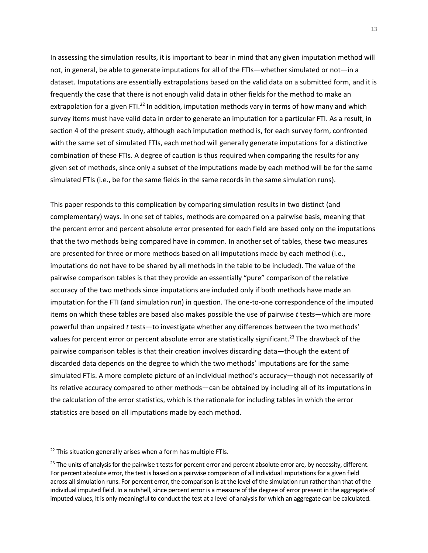In assessing the simulation results, it is important to bear in mind that any given imputation method will not, in general, be able to generate imputations for all of the FTIs—whether simulated or not—in a dataset. Imputations are essentially extrapolations based on the valid data on a submitted form, and it is frequently the case that there is not enough valid data in other fields for the method to make an extrapolation for a given FTI.<sup>22</sup> In addition, imputation methods vary in terms of how many and which survey items must have valid data in order to generate an imputation for a particular FTI. As a result, in section 4 of the present study, although each imputation method is, for each survey form, confronted with the same set of simulated FTIs, each method will generally generate imputations for a distinctive combination of these FTIs. A degree of caution is thus required when comparing the results for any given set of methods, since only a subset of the imputations made by each method will be for the same simulated FTIs (i.e., be for the same fields in the same records in the same simulation runs).

This paper responds to this complication by comparing simulation results in two distinct (and complementary) ways. In one set of tables, methods are compared on a pairwise basis, meaning that the percent error and percent absolute error presented for each field are based only on the imputations that the two methods being compared have in common. In another set of tables, these two measures are presented for three or more methods based on all imputations made by each method (i.e., imputations do not have to be shared by all methods in the table to be included). The value of the pairwise comparison tables is that they provide an essentially "pure" comparison of the relative accuracy of the two methods since imputations are included only if both methods have made an imputation for the FTI (and simulation run) in question. The one-to-one correspondence of the imputed items on which these tables are based also makes possible the use of pairwise *t* tests—which are more powerful than unpaired *t* tests—to investigate whether any differences between the two methods' values for percent error or percent absolute error are statistically significant.<sup>23</sup> The drawback of the pairwise comparison tables is that their creation involves discarding data—though the extent of discarded data depends on the degree to which the two methods' imputations are for the same simulated FTIs. A more complete picture of an individual method's accuracy—though not necessarily of its relative accuracy compared to other methods—can be obtained by including all of its imputations in the calculation of the error statistics, which is the rationale for including tables in which the error statistics are based on all imputations made by each method.

<sup>&</sup>lt;sup>22</sup> This situation generally arises when a form has multiple FTIs.

 For percent absolute error, the test is based on a pairwise comparison of all individual imputations for a given field individual imputed field. In a nutshell, since percent error is a measure of the degree of error present in the aggregate of <sup>23</sup> The units of analysis for the pairwise t tests for percent error and percent absolute error are, by necessity, different. across all simulation runs. For percent error, the comparison is at the level of the simulation run rather than that of the imputed values, it is only meaningful to conduct the test at a level of analysis for which an aggregate can be calculated.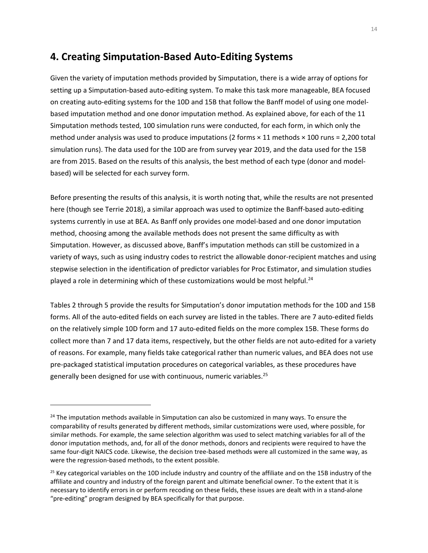# **4. Creating Simputation-Based Auto-Editing Systems**

Given the variety of imputation methods provided by Simputation, there is a wide array of options for setting up a Simputation-based auto-editing system. To make this task more manageable, BEA focused on creating auto-editing systems for the 10D and 15B that follow the Banff model of using one modelbased imputation method and one donor imputation method. As explained above, for each of the 11 Simputation methods tested, 100 simulation runs were conducted, for each form, in which only the method under analysis was used to produce imputations (2 forms × 11 methods × 100 runs = 2,200 total simulation runs). The data used for the 10D are from survey year 2019, and the data used for the 15B are from 2015. Based on the results of this analysis, the best method of each type (donor and modelbased) will be selected for each survey form.

Before presenting the results of this analysis, it is worth noting that, while the results are not presented here (though see Terrie 2018), a similar approach was used to optimize the Banff-based auto-editing systems currently in use at BEA. As Banff only provides one model-based and one donor imputation method, choosing among the available methods does not present the same difficulty as with Simputation. However, as discussed above, Banff's imputation methods can still be customized in a variety of ways, such as using industry codes to restrict the allowable donor-recipient matches and using stepwise selection in the identification of predictor variables for Proc Estimator, and simulation studies played a role in determining which of these customizations would be most helpful.<sup>24</sup>

Tables 2 through 5 provide the results for Simputation's donor imputation methods for the 10D and 15B forms. All of the auto-edited fields on each survey are listed in the tables. There are 7 auto-edited fields on the relatively simple 10D form and 17 auto-edited fields on the more complex 15B. These forms do collect more than 7 and 17 data items, respectively, but the other fields are not auto-edited for a variety of reasons. For example, many fields take categorical rather than numeric values, and BEA does not use pre-packaged statistical imputation procedures on categorical variables, as these procedures have generally been designed for use with continuous, numeric variables.<sup>25</sup>

 $24$  The imputation methods available in Simputation can also be customized in many ways. To ensure the comparability of results generated by different methods, similar customizations were used, where possible, for similar methods. For example, the same selection algorithm was used to select matching variables for all of the donor imputation methods, and, for all of the donor methods, donors and recipients were required to have the same four-digit NAICS code. Likewise, the decision tree-based methods were all customized in the same way, as were the regression-based methods, to the extent possible.

 $25$  Key categorical variables on the 10D include industry and country of the affiliate and on the 15B industry of the affiliate and country and industry of the foreign parent and ultimate beneficial owner. To the extent that it is necessary to identify errors in or perform recoding on these fields, these issues are dealt with in a stand-alone "pre-editing" program designed by BEA specifically for that purpose.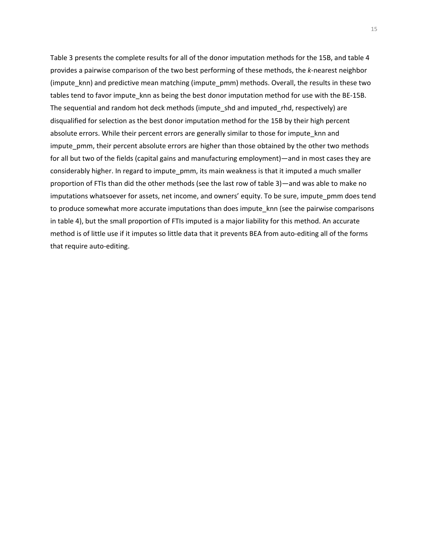impute\_pmm, their percent absolute errors are higher than those obtained by the other two methods Table 3 presents the complete results for all of the donor imputation methods for the 15B, and table 4 provides a pairwise comparison of the two best performing of these methods, the *k*-nearest neighbor (impute\_knn) and predictive mean matching (impute\_pmm) methods. Overall, the results in these two tables tend to favor impute\_knn as being the best donor imputation method for use with the BE-15B. The sequential and random hot deck methods (impute shd and imputed rhd, respectively) are disqualified for selection as the best donor imputation method for the 15B by their high percent absolute errors. While their percent errors are generally similar to those for impute\_knn and for all but two of the fields (capital gains and manufacturing employment)—and in most cases they are considerably higher. In regard to impute\_pmm, its main weakness is that it imputed a much smaller proportion of FTIs than did the other methods (see the last row of table 3)—and was able to make no imputations whatsoever for assets, net income, and owners' equity. To be sure, impute\_pmm does tend to produce somewhat more accurate imputations than does impute\_knn (see the pairwise comparisons in table 4), but the small proportion of FTIs imputed is a major liability for this method. An accurate method is of little use if it imputes so little data that it prevents BEA from auto-editing all of the forms that require auto-editing.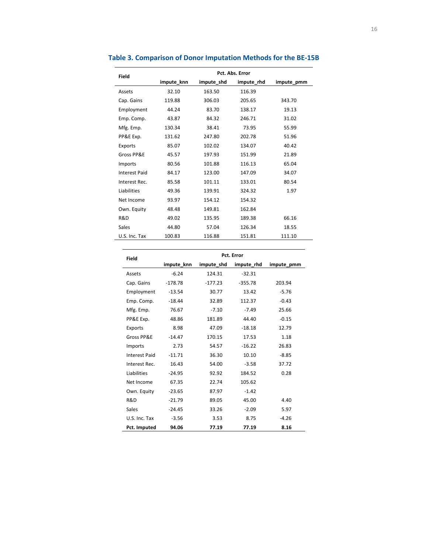| <b>Field</b>         |            | Pct. Abs. Error |            |            |  |  |  |  |
|----------------------|------------|-----------------|------------|------------|--|--|--|--|
|                      | impute knn | impute shd      | impute rhd | impute pmm |  |  |  |  |
| Assets               | 32.10      | 163.50          | 116.39     |            |  |  |  |  |
| Cap. Gains           | 119.88     | 306.03          | 205.65     | 343.70     |  |  |  |  |
| Employment           | 44.24      | 83.70           | 138.17     | 19.13      |  |  |  |  |
| Emp. Comp.           | 43.87      | 84.32           | 246.71     | 31.02      |  |  |  |  |
| Mfg. Emp.            | 130.34     | 38.41           | 73.95      | 55.99      |  |  |  |  |
| PP&E Exp.            | 131.62     | 247.80          | 202.78     | 51.96      |  |  |  |  |
| Exports              | 85.07      | 102.02          | 134.07     | 40.42      |  |  |  |  |
| Gross PP&E           | 45.57      | 197.93          | 151.99     | 21.89      |  |  |  |  |
| Imports              | 80.56      | 101.88          | 116.13     | 65.04      |  |  |  |  |
| <b>Interest Paid</b> | 84.17      | 123.00          | 147.09     | 34.07      |  |  |  |  |
| Interest Rec.        | 85.58      | 101.11          | 133.01     | 80.54      |  |  |  |  |
| Liabilities          | 49.36      | 139.91          | 324.32     | 1.97       |  |  |  |  |
| Net Income           | 93.97      | 154.12          | 154.32     |            |  |  |  |  |
| Own. Equity          | 48.48      | 149.81          | 162.84     |            |  |  |  |  |
| R&D                  | 49.02      | 135.95          | 189.38     | 66.16      |  |  |  |  |
| <b>Sales</b>         | 44.80      | 57.04           | 126.34     | 18.55      |  |  |  |  |
| U.S. Inc. Tax        | 100.83     | 116.88          | 151.81     | 111.10     |  |  |  |  |

## **Table 3. Comparison of Donor Imputation Methods for the BE-15B**

| <b>Field</b>         |            |            | Pct. Error |            |  |  |  |  |  |
|----------------------|------------|------------|------------|------------|--|--|--|--|--|
|                      | impute_knn | impute_shd | impute_rhd | impute_pmm |  |  |  |  |  |
| Assets               | $-6.24$    | 124.31     | $-32.31$   |            |  |  |  |  |  |
| Cap. Gains           | $-178.78$  | $-177.23$  | $-355.78$  | 203.94     |  |  |  |  |  |
| Employment           | $-13.54$   | 30.77      | 13.42      | $-5.76$    |  |  |  |  |  |
| Emp. Comp.           | $-18.44$   | 32.89      | 112.37     | $-0.43$    |  |  |  |  |  |
| Mfg. Emp.            | 76.67      | $-7.10$    | $-7.49$    | 25.66      |  |  |  |  |  |
| PP&E Exp.            | 48.86      | 181.89     | 44.40      | $-0.15$    |  |  |  |  |  |
| Exports              | 8.98       | 47.09      | $-18.18$   | 12.79      |  |  |  |  |  |
| Gross PP&E           | $-14.47$   | 170.15     | 17.53      | 1.18       |  |  |  |  |  |
| Imports              | 2.73       | 54.57      | $-16.22$   | 26.83      |  |  |  |  |  |
| <b>Interest Paid</b> | $-11.71$   | 36.30      | 10.10      | $-8.85$    |  |  |  |  |  |
| Interest Rec.        | 16.43      | 54.00      | $-3.58$    | 37.72      |  |  |  |  |  |
| <b>Liabilities</b>   | $-24.95$   | 92.92      | 184.52     | 0.28       |  |  |  |  |  |
| Net Income           | 67.35      | 22.74      | 105.62     |            |  |  |  |  |  |
| Own. Equity          | $-23.65$   | 87.97      | $-1.42$    |            |  |  |  |  |  |
| R&D                  | $-21.79$   | 89.05      | 45.00      | 4.40       |  |  |  |  |  |
| Sales                | $-24.45$   | 33.26      | $-2.09$    | 5.97       |  |  |  |  |  |
| U.S. Inc. Tax        | $-3.56$    | 3.53       | 8.75       | $-4.26$    |  |  |  |  |  |
| Pct. Imputed         | 94.06      | 77.19      | 77.19      | 8.16       |  |  |  |  |  |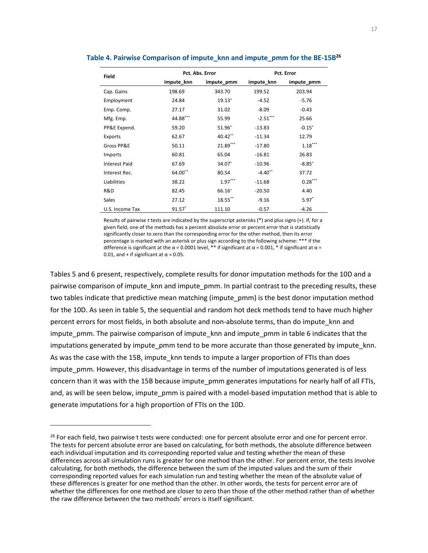| <b>Field</b>         |            | Pct. Abs. Error | Pct. Error |             |  |
|----------------------|------------|-----------------|------------|-------------|--|
|                      | impute knn | impute_pmm      | impute knn | impute pmm  |  |
| Cap. Gains           | 198.69     | 343.70          | 199.52     | 203.94      |  |
| Employment           | 24.84      | $19.13^{+}$     | $-4.52$    | $-5.76$     |  |
| Emp. Comp.           | 27.17      | 31.02           | $-8.09$    | $-0.43$     |  |
| Mfg. Emp.            | 44.88***   | 55.99           | $-2.51***$ | 25.66       |  |
| PP&E Expend.         | 59.20      | 51.96+          | $-13.83$   | $-0.15^{+}$ |  |
| Exports              | 62.67      | 40.42**         | $-11.34$   | 12.79       |  |
| Gross PP&E           | 50.11      | 21.89***        | $-17.80$   | $1.18***$   |  |
| Imports              | 60.81      | 65.04           | $-16.81$   | 26.83       |  |
| <b>Interest Paid</b> | 67.69      | 34.07+          | $-10.96$   | $-8.85^{+}$ |  |
| Interest Rec.        | 64.00**    | 80.54           | $-4.40$ ** | 37.72       |  |
| Liabilities          | 38.22      | $1.97***$       | $-11.68$   | $0.28***$   |  |
| R&D                  | 82.45      | 66.16+          | $-20.50$   | 4.40        |  |
| <b>Sales</b>         | 27.12      | 18.55**         | $-9.16$    | $5.97*$     |  |
| U.S. Income Tax      | $91.57$ *  | 111.10          | $-0.57$    | $-4.26$     |  |

## **Table 4. Pairwise Comparison of impute\_knn and impute\_pmm for the BE-15B26**

Results of pairwise *t* tests are indicated by the superscript asterisks (\*) and plus signs (+). If, for a given field, one of the methods has a percent absolute error or percent error that is statistically significantly closer to zero than the corresponding error for the other method, then its error percentage is marked with an asterisk or plus sign according to the following scheme: \*\*\* if the difference is significant at the  $\alpha$  = 0.0001 level, \*\* if significant at  $\alpha$  = 0.001, \* if significant at  $\alpha$  = 0.01, and + if significant at  $\alpha$  = 0.05.

Tables 5 and 6 present, respectively, complete results for donor imputation methods for the 10D and a pairwise comparison of impute knn and impute pmm. In partial contrast to the preceding results, these two tables indicate that predictive mean matching (impute pmm) is the best donor imputation method for the 10D. As seen in table 5, the sequential and random hot deck methods tend to have much higher percent errors for most fields, in both absolute and non-absolute terms, than do impute\_knn and impute\_pmm. The pairwise comparison of impute\_knn and impute\_pmm in table 6 indicates that the imputations generated by impute pmm tend to be more accurate than those generated by impute knn. As was the case with the 15B, impute\_knn tends to impute a larger proportion of FTIs than does impute pmm. However, this disadvantage in terms of the number of imputations generated is of less concern than it was with the 15B because impute pmm generates imputations for nearly half of all FTIs, and, as will be seen below, impute pmm is paired with a model-based imputation method that is able to generate imputations for a high proportion of FTIs on the 10D.

<sup>&</sup>lt;sup>26</sup> For each field, two pairwise t tests were conducted: one for percent absolute error and one for percent error. The tests for percent absolute error are based on calculating, for both methods, the absolute difference between each individual imputation and its corresponding reported value and testing whether the mean of these differences across all simulation runs is greater for one method than the other. For percent error, the tests involve calculating, for both methods, the difference between the sum of the imputed values and the sum of their corresponding reported values for each simulation run and testing whether the mean of the absolute value of these differences is greater for one method than the other. In other words, the tests for percent error are of whether the differences for one method are closer to zero than those of the other method rather than of whether the raw difference between the two methods' errors is itself significant.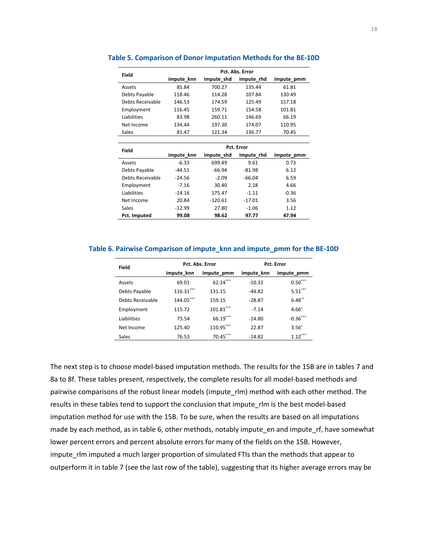| Field            | Pct. Abs. Error |            |            |            |  |  |  |
|------------------|-----------------|------------|------------|------------|--|--|--|
|                  | impute knn      | impute shd | impute rhd | impute pmm |  |  |  |
| Assets           | 85.84           | 700.27     | 135.44     | 61.81      |  |  |  |
| Debts Payable    | 118.46          | 114.28     | 107.84     | 130.49     |  |  |  |
| Debts Receivable | 146.53          | 174.59     | 125.49     | 157.18     |  |  |  |
| Employment       | 116.45          | 159.71     | 154.58     | 101.81     |  |  |  |
| Liabilities      | 83.98           | 260.11     | 146.69     | 66.19      |  |  |  |
| Net Income       | 134.44          | 197.30     | 174.07     | 110.95     |  |  |  |
| Sales            | 81.47           | 121.34     | 136.77     | 70.45      |  |  |  |
|                  |                 |            |            |            |  |  |  |
| Field            |                 |            |            |            |  |  |  |

#### **Table 5. Comparison of Donor Imputation Methods for the BE-10D**

| Field            | Pct. Error |            |            |            |  |  |  |
|------------------|------------|------------|------------|------------|--|--|--|
|                  | impute knn | impute shd | impute rhd | impute pmm |  |  |  |
| Assets           | $-6.33$    | 699.49     | 9.61       | 0.73       |  |  |  |
| Debts Payable    | $-44.51$   | $-66.94$   | $-81.98$   | 6.12       |  |  |  |
| Debts Receivable | $-24.56$   | $-2.09$    | $-66.04$   | 6.59       |  |  |  |
| Employment       | $-7.16$    | 30.40      | 2.18       | 4.66       |  |  |  |
| Liabilities      | $-14.16$   | 175.47     | $-1.11$    | $-0.36$    |  |  |  |
| Net Income       | 20.84      | $-120.61$  | $-17.01$   | 3.56       |  |  |  |
| Sales            | $-12.99$   | 27.80      | $-1.06$    | 1.12       |  |  |  |
| Pct. Imputed     | 99.08      | 98.62      | 97.77      | 47.94      |  |  |  |

## **Table 6. Pairwise Comparison of impute\_knn and impute\_pmm for the BE-10D**

| <b>Field</b>     |                          | Pct. Abs. Error | Pct. Error |            |  |
|------------------|--------------------------|-----------------|------------|------------|--|
|                  | impute knn<br>impute pmm |                 | impute knn | impute pmm |  |
| Assets           | 69.01                    | $62.14***$      | $-10.32$   | $0.50***$  |  |
| Debts Payable    | $116.31***$              | 131.15          | $-44.82$   | $5.51***$  |  |
| Debts Receivable | 144.05***                | 159.15          | $-28.87$   | $6.48***$  |  |
| Employment       | 115.72                   | $101.81***$     | $-7.14$    | $4.66^{+}$ |  |
| Liabilities      | 75.54                    | $66.19***$      | $-14.80$   | $-0.36***$ |  |
| Net Income       | 125.40                   | 110.95***       | 22.87      | $3.56+$    |  |
| Sales            | 76.53                    | 70.45***        | $-14.82$   | $1.12***$  |  |

The next step is to choose model-based imputation methods. The results for the 15B are in tables 7 and 8a to 8f. These tables present, respectively, the complete results for all model-based methods and pairwise comparisons of the robust linear models (impute\_rlm) method with each other method. The results in these tables tend to support the conclusion that impute\_rlm is the best model-based imputation method for use with the 15B. To be sure, when the results are based on all imputations made by each method, as in table 6, other methods, notably impute\_en and impute\_rf, have somewhat lower percent errors and percent absolute errors for many of the fields on the 15B. However, impute\_rlm imputed a much larger proportion of simulated FTIs than the methods that appear to outperform it in table 7 (see the last row of the table), suggesting that its higher average errors may be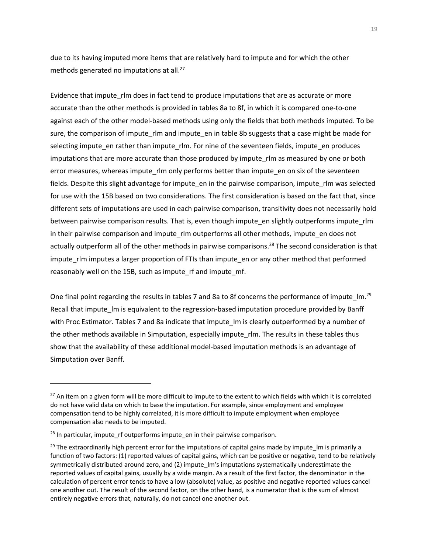methods generated no imputations at all.<sup>27</sup> due to its having imputed more items that are relatively hard to impute and for which the other

Evidence that impute rlm does in fact tend to produce imputations that are as accurate or more accurate than the other methods is provided in tables 8a to 8f, in which it is compared one-to-one against each of the other model-based methods using only the fields that both methods imputed. To be sure, the comparison of impute\_rlm and impute\_en in table 8b suggests that a case might be made for selecting impute\_en rather than impute\_rlm. For nine of the seventeen fields, impute\_en produces imputations that are more accurate than those produced by impute rlm as measured by one or both error measures, whereas impute rlm only performs better than impute en on six of the seventeen fields. Despite this slight advantage for impute\_en in the pairwise comparison, impute\_rlm was selected for use with the 15B based on two considerations. The first consideration is based on the fact that, since different sets of imputations are used in each pairwise comparison, transitivity does not necessarily hold between pairwise comparison results. That is, even though impute en slightly outperforms impute rlm in their pairwise comparison and impute\_rlm outperforms all other methods, impute en does not actually outperform all of the other methods in pairwise comparisons.<sup>28</sup> The second consideration is that impute rlm imputes a larger proportion of FTIs than impute en or any other method that performed reasonably well on the 15B, such as impute\_rf and impute\_mf.

One final point regarding the results in tables 7 and 8a to 8f concerns the performance of impute  $\text{Im.}^{29}$ Recall that impute Im is equivalent to the regression-based imputation procedure provided by Banff with Proc Estimator. Tables 7 and 8a indicate that impute\_lm is clearly outperformed by a number of the other methods available in Simputation, especially impute\_rlm. The results in these tables thus show that the availability of these additional model-based imputation methods is an advantage of Simputation over Banff.

 $27$  An item on a given form will be more difficult to impute to the extent to which fields with which it is correlated do not have valid data on which to base the imputation. For example, since employment and employee compensation tend to be highly correlated, it is more difficult to impute employment when employee compensation also needs to be imputed.

 $28$  In particular, impute rf outperforms impute en in their pairwise comparison.

 $^{29}$  The extraordinarily high percent error for the imputations of capital gains made by impute Im is primarily a function of two factors: (1) reported values of capital gains, which can be positive or negative, tend to be relatively symmetrically distributed around zero, and (2) impute\_lm's imputations systematically underestimate the reported values of capital gains, usually by a wide margin. As a result of the first factor, the denominator in the calculation of percent error tends to have a low (absolute) value, as positive and negative reported values cancel one another out. The result of the second factor, on the other hand, is a numerator that is the sum of almost entirely negative errors that, naturally, do not cancel one another out.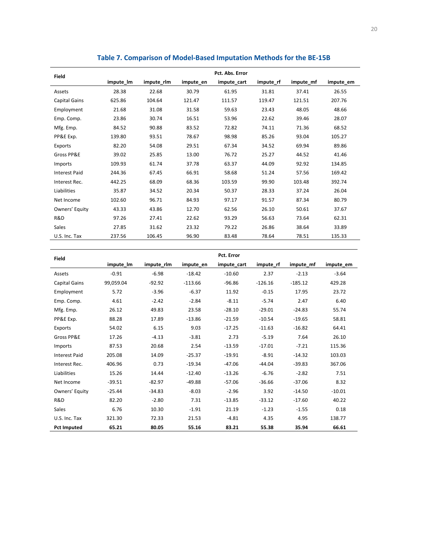| Field                | Pct. Abs. Error |            |           |             |           |           |           |  |
|----------------------|-----------------|------------|-----------|-------------|-----------|-----------|-----------|--|
|                      | impute_lm       | impute_rlm | impute_en | impute_cart | impute_rf | impute_mf | impute_em |  |
| Assets               | 28.38           | 22.68      | 30.79     | 61.95       | 31.81     | 37.41     | 26.55     |  |
| Capital Gains        | 625.86          | 104.64     | 121.47    | 111.57      | 119.47    | 121.51    | 207.76    |  |
| Employment           | 21.68           | 31.08      | 31.58     | 59.63       | 23.43     | 48.05     | 48.66     |  |
| Emp. Comp.           | 23.86           | 30.74      | 16.51     | 53.96       | 22.62     | 39.46     | 28.07     |  |
| Mfg. Emp.            | 84.52           | 90.88      | 83.52     | 72.82       | 74.11     | 71.36     | 68.52     |  |
| PP&E Exp.            | 139.80          | 93.51      | 78.67     | 98.98       | 85.26     | 93.04     | 105.27    |  |
| Exports              | 82.20           | 54.08      | 29.51     | 67.34       | 34.52     | 69.94     | 89.86     |  |
| Gross PP&E           | 39.02           | 25.85      | 13.00     | 76.72       | 25.27     | 44.52     | 41.46     |  |
| Imports              | 109.93          | 61.74      | 37.78     | 63.37       | 44.09     | 92.92     | 134.85    |  |
| <b>Interest Paid</b> | 244.36          | 67.45      | 66.91     | 58.68       | 51.24     | 57.56     | 169.42    |  |
| Interest Rec.        | 442.25          | 68.09      | 68.36     | 103.59      | 99.90     | 103.48    | 392.74    |  |
| Liabilities          | 35.87           | 34.52      | 20.34     | 50.37       | 28.33     | 37.24     | 26.04     |  |
| Net Income           | 102.60          | 96.71      | 84.93     | 97.17       | 91.57     | 87.34     | 80.79     |  |
| Owners' Equity       | 43.33           | 43.86      | 12.70     | 62.56       | 26.10     | 50.61     | 37.67     |  |
| R&D                  | 97.26           | 27.41      | 22.62     | 93.29       | 56.63     | 73.64     | 62.31     |  |
| Sales                | 27.85           | 31.62      | 23.32     | 79.22       | 26.86     | 38.64     | 33.89     |  |
| U.S. Inc. Tax        | 237.56          | 106.45     | 96.90     | 83.48       | 78.64     | 78.51     | 135.33    |  |

## **Table 7. Comparison of Model-Based Imputation Methods for the BE-15B**

| <b>Field</b>         | Pct. Error |            |           |             |           |           |           |  |  |
|----------------------|------------|------------|-----------|-------------|-----------|-----------|-----------|--|--|
|                      | impute Im  | impute rlm | impute en | impute cart | impute rf | impute mf | impute em |  |  |
| Assets               | $-0.91$    | $-6.98$    | $-18.42$  | $-10.60$    | 2.37      | $-2.13$   | $-3.64$   |  |  |
| Capital Gains        | 99,059.04  | $-92.92$   | $-113.66$ | $-96.86$    | $-126.16$ | $-185.12$ | 429.28    |  |  |
| Employment           | 5.72       | $-3.96$    | $-6.37$   | 11.92       | $-0.15$   | 17.95     | 23.72     |  |  |
| Emp. Comp.           | 4.61       | $-2.42$    | $-2.84$   | $-8.11$     | $-5.74$   | 2.47      | 6.40      |  |  |
| Mfg. Emp.            | 26.12      | 49.83      | 23.58     | $-28.10$    | $-29.01$  | $-24.83$  | 55.74     |  |  |
| PP&E Exp.            | 88.28      | 17.89      | $-13.86$  | $-21.59$    | $-10.54$  | $-19.65$  | 58.81     |  |  |
| Exports              | 54.02      | 6.15       | 9.03      | $-17.25$    | $-11.63$  | $-16.82$  | 64.41     |  |  |
| Gross PP&E           | 17.26      | $-4.13$    | $-3.81$   | 2.73        | $-5.19$   | 7.64      | 26.10     |  |  |
| Imports              | 87.53      | 20.68      | 2.54      | $-13.59$    | $-17.01$  | $-7.21$   | 115.36    |  |  |
| <b>Interest Paid</b> | 205.08     | 14.09      | $-25.37$  | $-19.91$    | $-8.91$   | $-14.32$  | 103.03    |  |  |
| Interest Rec.        | 406.96     | 0.73       | $-19.34$  | $-47.06$    | $-44.04$  | $-39.83$  | 367.06    |  |  |
| Liabilities          | 15.26      | 14.44      | $-12.40$  | $-13.26$    | $-6.76$   | $-2.82$   | 7.51      |  |  |
| Net Income           | $-39.51$   | $-82.97$   | $-49.88$  | $-57.06$    | $-36.66$  | $-37.06$  | 8.32      |  |  |
| Owners' Equity       | $-25.44$   | $-34.83$   | $-8.03$   | $-2.96$     | 3.92      | $-14.50$  | $-10.01$  |  |  |
| R&D                  | 82.20      | $-2.80$    | 7.31      | $-13.85$    | $-33.12$  | $-17.60$  | 40.22     |  |  |
| <b>Sales</b>         | 6.76       | 10.30      | $-1.91$   | 21.19       | $-1.23$   | $-1.55$   | 0.18      |  |  |
| U.S. Inc. Tax        | 321.30     | 72.33      | 21.53     | $-4.81$     | 4.35      | 4.95      | 138.77    |  |  |
| <b>Pct Imputed</b>   | 65.21      | 80.05      | 55.16     | 83.21       | 55.38     | 35.94     | 66.61     |  |  |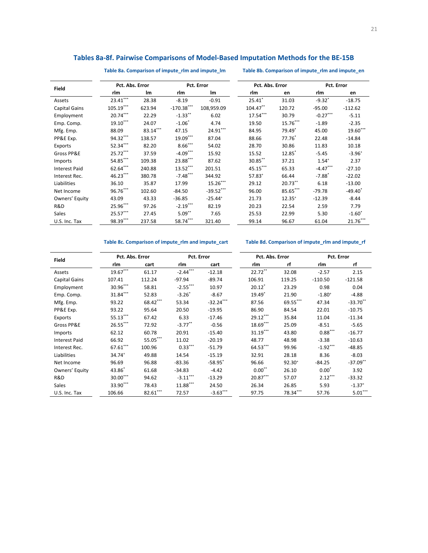## **Tables 8a-8f. Pairwise Comparisons of Model-Based Imputation Methods for the BE-15B**

**Table 8a. Comparison of impute\_rlm and impute\_lm Table 8b. Comparison of impute\_rlm and impute\_en** 

| <b>Field</b>         | Pct. Abs. Error |          |                       | Pct. Error            | Pct. Abs. Error      |             | Pct. Error           |                       |
|----------------------|-----------------|----------|-----------------------|-----------------------|----------------------|-------------|----------------------|-----------------------|
|                      | rlm             | lm       | rlm                   | <b>Im</b>             | rlm                  | en          | rlm                  | en                    |
| Assets               | $23.41***$      | 28.38    | $-8.19$               | $-0.91$               | $25.41$ <sup>*</sup> | 31.03       | $-9.32$ *            | $-18.75$              |
| <b>Capital Gains</b> | $105.19***$     | 623.94   | $-170.38***$          | 108,959.09            | 104.47**             | 120.72      | $-95.00$             | $-112.62$             |
| Employment           | $20.74***$      | 22.29    | $-1.33$ <sup>**</sup> | 6.02                  | $17.54***$           | 30.79       | $-0.27***$           | $-5.11$               |
| Emp. Comp.           | 19.10***        | 24.07    | $-1.06$ <sup>*</sup>  | 4.74                  | 19.50                | $15.76***$  | $-1.89$              | $-2.35$               |
| Mfg. Emp.            | 88.09           | 83.14*** | 47.15                 | $24.91***$            | 84.95                | 79.49       | 45.00                | 19.60***              |
| PP&E Exp.            | 94.32***        | 138.57   | $19.09***$            | 87.04                 | 88.66                | $77.76*$    | 22.48                | $-14.84$              |
| Exports              | 52.34***        | 82.20    | $8.66***$             | 54.02                 | 28.70                | 30.86       | 11.83                | 10.18                 |
| Gross PP&E           | 25.72***        | 37.59    | $-4.09***$            | 15.92                 | 15.52                | 12.85       | $-5.45$              | $-3.96+$              |
| Imports              | 54.85***        | 109.38   | 23.88***              | 87.62                 | 30.85**              | 37.21       | $1.54^{+}$           | 2.37                  |
| <b>Interest Paid</b> | $62.64***$      | 240.88   | $13.52***$            | 201.51                | 45.15***             | 65.33       | $-4.47***$           | $-27.10$              |
| Interest Rec.        | 46.23***        | 380.78   | $-7.48***$            | 344.92                | $57.83^{+}$          | 66.44       | $-7.88$ <sup>*</sup> | $-22.02$              |
| Liabilities          | 36.10           | 35.87    | 17.99                 | 15.26***              | 29.12                | $20.73$ **  | 6.18                 | $-13.00$              |
| Net Income           | 96.76***        | 102.60   | $-84.50$              | $-39.52***$           | 96.00                | 85.65***    | $-79.78$             | $-49.40$ <sup>*</sup> |
| Owners' Equity       | 43.09           | 43.33    | $-36.85$              | $-25.44$ <sup>+</sup> | 21.73                | $12.35^{+}$ | $-12.39$             | $-8.44$               |
| R&D                  | 25.96***        | 97.26    | $-2.19***$            | 82.19                 | 20.23                | 22.54       | 2.59                 | 7.79                  |
| Sales                | 25.57***        | 27.45    | $5.09***$             | 7.65                  | 25.53                | 22.99       | 5.30                 | $-1.60$ <sup>*</sup>  |
| U.S. Inc. Tax        | 98.39***        | 237.58   | 58.74***              | 321.40                | 99.14                | 96.67       | 61.04                | $21.76***$            |

## **Table 8c. Comparison of impute\_rlm and impute\_cart Table 8d. Comparison of impute\_rlm and impute\_rf**

| <b>Field</b>         | Pct. Abs. Error    |          | Pct. Error |                       | Pct. Abs. Error |             | Pct. Error  |                      |
|----------------------|--------------------|----------|------------|-----------------------|-----------------|-------------|-------------|----------------------|
|                      | rlm                | cart     | rlm        | cart                  | rlm             | rf          | rlm         | rf                   |
| Assets               | 19.67***           | 61.17    | $-2.44***$ | $-12.18$              | $22.72***$      | 32.08       | $-2.57$     | 2.15                 |
| <b>Capital Gains</b> | 107.41             | 112.24   | $-97.94$   | $-89.74$              | 106.91          | 119.25      | $-110.50$   | $-121.58$            |
| Employment           | 30.96***           | 58.81    | $-2.55***$ | 10.97                 | $20.12*$        | 23.29       | 0.98        | 0.04                 |
| Emp. Comp.           | 31.84***           | 52.83    | $-3.26"$   | $-8.67$               | $19.49*$        | 21.90       | $-1.80^{+}$ | $-4.88$              |
| Mfg. Emp.            | 93.22              | 68.42*** | 53.34      | $-32.24***$           | 87.56           | 69.55***    | 47.34       | $-33.70$ **          |
| PP&E Exp.            | 93.22              | 95.64    | 20.50      | $-19.95$              | 86.90           | 84.54       | 22.01       | $-10.75$             |
| Exports              | 55.13***           | 67.42    | 6.33       | $-17.46$              | $29.12***$      | 35.84       | 11.04       | $-11.34$             |
| Gross PP&E           | 26.55***           | 72.92    | $-3.77$ ** | $-0.56$               | $18.69***$      | 25.09       | $-8.51$     | $-5.65$              |
| Imports              | 62.12              | 60.78    | 20.91      | $-15.40$              | $31.19***$      | 43.80       | $0.88***$   | $-16.77$             |
| <b>Interest Paid</b> | 66.92              | 55.05*** | 11.02      | $-20.19$              | 48.77           | 48.98       | $-3.38$     | $-10.63$             |
| Interest Rec.        | $67.61***$         | 100.96   | $0.33***$  | $-51.79$              | $64.53***$      | 99.96       | $-1.92***$  | $-48.85$             |
| Liabilities          | 34.74 <sup>+</sup> | 49.88    | 14.54      | $-15.19$              | 32.91           | 28.18       | 8.36        | $-8.03$              |
| Net Income           | 96.69              | 96.88    | $-83.36$   | $-58.95$ <sup>*</sup> | 96.66           | $92.30^{+}$ | $-84.25$    | $-37.09$ **          |
| Owners' Equity       | 43.86              | 61.68    | $-34.83$   | $-4.42$               | $0.00***$       | 26.10       | $0.00*$     | 3.92                 |
| R&D                  | $30.00***$         | 94.62    | $-3.11***$ | $-13.29$              | 20.87***        | 57.07       | $2.12***$   | $-33.32$             |
| Sales                | 33.90***           | 78.43    | 11.88***   | 24.50                 | 26.34           | 26.85       | 5.93        | $-1.37$ <sup>+</sup> |
| U.S. Inc. Tax        | 106.66             | 82.61*** | 72.57      | $-3.63***$            | 97.75           | 78.34***    | 57.76       | $5.01***$            |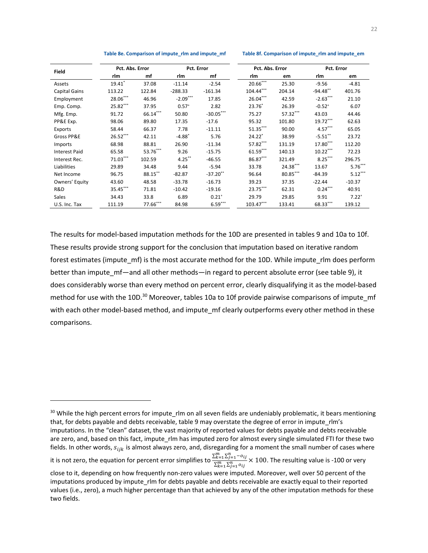| Table 8e. Comparison of impute_rlm and impute_mf |  |  |  |  |  |
|--------------------------------------------------|--|--|--|--|--|
|--------------------------------------------------|--|--|--|--|--|

Table 8f. Comparison of impute\_rlm and impute\_em

| <b>Field</b>         |                      | Pct. Abs. Error |                      | Pct. Error  |             | Pct. Abs. Error |             | Pct. Error |  |
|----------------------|----------------------|-----------------|----------------------|-------------|-------------|-----------------|-------------|------------|--|
|                      | rlm                  | mf              | rlm                  | mf          | rlm         | em              | rlm         | em         |  |
| Assets               | $19.41$ <sup>*</sup> | 37.08           | $-11.14$             | $-2.54$     | 20.66***    | 25.30           | $-9.56$     | $-4.81$    |  |
| <b>Capital Gains</b> | 113.22               | 122.84          | $-288.33$            | $-161.34$   | $104.44***$ | 204.14          | $-94.48$ ** | 401.76     |  |
| Employment           | 28.06***             | 46.96           | $-2.09***$           | 17.85       | $26.04***$  | 42.59           | $-2.63***$  | 21.10      |  |
| Emp. Comp.           | 25.82***             | 37.95           | $0.57^{+}$           | 2.82        | $23.76*$    | 26.39           | $-0.52^{+}$ | 6.07       |  |
| Mfg. Emp.            | 91.72                | $66.14***$      | 50.80                | $-30.05***$ | 75.27       | 57.32***        | 43.03       | 44.46      |  |
| PP&E Exp.            | 98.06                | 89.80           | 17.35                | $-17.6$     | 95.32       | 101.80          | 19.72***    | 62.63      |  |
| Exports              | 58.44                | 66.37           | 7.78                 | $-11.11$    | $51.35***$  | 90.00           | $4.57***$   | 65.05      |  |
| Gross PP&E           | 26.52***             | 42.11           | $-4.88$ <sup>*</sup> | 5.76        | $24.22*$    | 38.99           | $-5.51$ **  | 23.72      |  |
| Imports              | 68.98                | 88.81           | 26.90                | $-11.34$    | 57.82***    | 131.19          | $17.80***$  | 112.20     |  |
| <b>Interest Paid</b> | 65.58                | 53.76***        | 9.26                 | $-15.75$    | 61.59***    | 140.13          | $10.22***$  | 72.23      |  |
| Interest Rec.        | 71.03***             | 102.59          | $4.25***$            | $-46.55$    | 86.87***    | 321.49          | $8.25***$   | 296.75     |  |
| Liabilities          | 29.89                | 34.48           | 9.44                 | $-5.94$     | 33.78       | 24.38***        | 13.67       | $5.76***$  |  |
| Net Income           | 96.75                | 88.15**         | $-82.87$             | $-37.20$ ** | 96.64       | 80.85***        | $-84.39$    | $5.12***$  |  |
| Owners' Equity       | 43.60                | 48.58           | $-33.78$             | $-16.73$    | 39.23       | 37.35           | $-22.44$    | $-10.37$   |  |
| R&D                  | $35.45***$           | 71.81           | $-10.42$             | $-19.16$    | 23.75***    | 62.31           | $0.24***$   | 40.91      |  |
| Sales                | 34.43                | 33.8            | 6.89                 | $0.21^{+}$  | 29.79       | 29.85           | 9.91        | $7.22^{+}$ |  |
| U.S. Inc. Tax        | 111.19               | 77.66***        | 84.98                | $6.59***$   | $103.47***$ | 133.41          | 68.33***    | 139.12     |  |

The results for model-based imputation methods for the 10D are presented in tables 9 and 10a to 10f. These results provide strong support for the conclusion that imputation based on iterative random forest estimates (impute\_mf) is the most accurate method for the 10D. While impute\_rlm does perform better than impute\_mf—and all other methods—in regard to percent absolute error (see table 9), it does considerably worse than every method on percent error, clearly disqualifying it as the model-based method for use with the 10D.<sup>30</sup> Moreover, tables 10a to 10f provide pairwise comparisons of impute mf with each other model-based method, and impute\_mf clearly outperforms every other method in these comparisons.

<sup>&</sup>lt;sup>30</sup> While the high percent errors for impute\_rlm on all seven fields are undeniably problematic, it bears mentioning that, for debts payable and debts receivable, table 9 may overstate the degree of error in impute rlm's imputations. In the "clean" dataset, the vast majority of reported values for debts payable and debts receivable are zero, and, based on this fact, impute\_rlm has imputed zero for almost every single simulated FTI for these two fields. In other words,  $s_{ijk}$  is almost always zero, and, disregarding for a moment the small number of cases where<br>it is not zero, the equation for percent error simplifies to  $\frac{\sum_{k=1}^{m} \sum_{j=1}^{n} -o_{ij}}{\sum_{k=1}^{m} \sum_{j=$ 

close to it, depending on how frequently non-zero values were imputed. Moreover, well over 50 percent of the imputations produced by impute rlm for debts payable and debts receivable are exactly equal to their reported values (i.e., zero), a much higher percentage than that achieved by any of the other imputation methods for these two fields.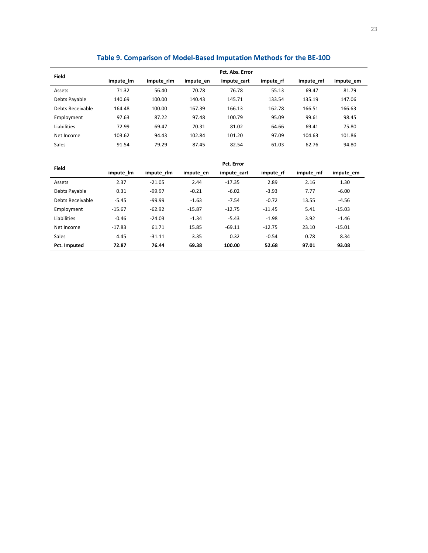| <b>Field</b>     |           | Pct. Abs. Error |           |             |           |           |           |  |  |  |  |
|------------------|-----------|-----------------|-----------|-------------|-----------|-----------|-----------|--|--|--|--|
|                  | impute_lm | impute rlm      | impute en | impute cart | impute rf | impute mf | impute em |  |  |  |  |
| Assets           | 71.32     | 56.40           | 70.78     | 76.78       | 55.13     | 69.47     | 81.79     |  |  |  |  |
| Debts Payable    | 140.69    | 100.00          | 140.43    | 145.71      | 133.54    | 135.19    | 147.06    |  |  |  |  |
| Debts Receivable | 164.48    | 100.00          | 167.39    | 166.13      | 162.78    | 166.51    | 166.63    |  |  |  |  |
| Employment       | 97.63     | 87.22           | 97.48     | 100.79      | 95.09     | 99.61     | 98.45     |  |  |  |  |
| Liabilities      | 72.99     | 69.47           | 70.31     | 81.02       | 64.66     | 69.41     | 75.80     |  |  |  |  |
| Net Income       | 103.62    | 94.43           | 102.84    | 101.20      | 97.09     | 104.63    | 101.86    |  |  |  |  |
| <b>Sales</b>     | 91.54     | 79.29           | 87.45     | 82.54       | 61.03     | 62.76     | 94.80     |  |  |  |  |
|                  |           |                 |           |             |           |           |           |  |  |  |  |
|                  |           |                 |           | Pct. Error  |           |           |           |  |  |  |  |
| Field            | impute Im | impute rlm      | impute en | impute cart | impute rf | impute mf | impute em |  |  |  |  |
| Assets           | 2.37      | $-21.05$        | 2.44      | $-17.35$    | 2.89      | 2.16      | 1.30      |  |  |  |  |
| Debts Payable    | 0.31      | $-99.97$        | $-0.21$   | $-6.02$     | $-3.93$   | 7.77      | $-6.00$   |  |  |  |  |
| Debts Receivable | $-5.45$   | $-99.99$        | $-1.63$   | $-7.54$     | $-0.72$   | 13.55     | $-4.56$   |  |  |  |  |
| Employment       | $-15.67$  | $-62.92$        | $-15.87$  | $-12.75$    | $-11.45$  | 5.41      | $-15.03$  |  |  |  |  |
| Liabilities      | $-0.46$   | $-24.03$        | $-1.34$   | $-5.43$     | $-1.98$   | 3.92      | $-1.46$   |  |  |  |  |
| Net Income       | $-17.83$  | 61.71           | 15.85     | $-69.11$    | $-12.75$  | 23.10     | $-15.01$  |  |  |  |  |
| Sales            | 4.45      | $-31.11$        | 3.35      | 0.32        | $-0.54$   | 0.78      | 8.34      |  |  |  |  |
| Pct. Imputed     | 72.87     | 76.44           | 69.38     | 100.00      | 52.68     | 97.01     | 93.08     |  |  |  |  |

## **Table 9. Comparison of Model-Based Imputation Methods for the BE-10D**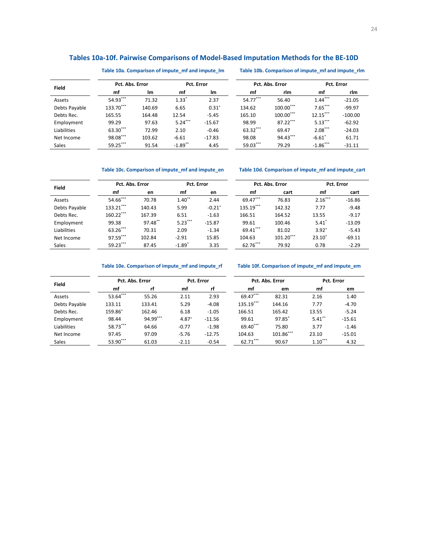## **Tables 10a-10f. Pairwise Comparisons of Model-Based Imputation Methods for the BE-10D**

**Table 10a. Comparison of impute\_mf and impute\_lm Table 10b. Comparison of impute\_mf and impute\_rlm** 

| <b>Field</b>  | Pct. Abs. Error |        | Pct. Error            |            | Pct. Abs. Error |              | Pct. Error  |           |
|---------------|-----------------|--------|-----------------------|------------|-----------------|--------------|-------------|-----------|
|               | mf              | Im     | mf                    | lm         | mf              | rlm          | mf          | rlm       |
| Assets        | 54.93***        | 71.32  | $1.33*$               | 2.37       | 54.77***        | 56.40        | $1.44***$   | $-21.05$  |
| Debts Payable | 133.70***       | 140.69 | 6.65                  | $0.31^{+}$ | 134.62          | $100.00$ *** | $7.65***$   | $-99.97$  |
| Debts Rec.    | 165.55          | 164.48 | 12.54                 | $-5.45$    | 165.10          | $100.00$ *** | $12.15***$  | $-100.00$ |
| Employment    | 99.29           | 97.63  | $5.24***$             | $-15.67$   | 98.99           | $87.22***$   | $5.13***$   | $-62.92$  |
| Liabilities   | 63.30***        | 72.99  | 2.10                  | $-0.46$    | 63.32***        | 69.47        | $2.08***$   | $-24.03$  |
| Net Income    | 98.08***        | 103.62 | $-6.61$               | $-17.83$   | 98.08           | 94.43***     | $-6.61'$    | 61.71     |
| <b>Sales</b>  | $59.25***$      | 91.54  | $-1.89$ <sup>**</sup> | 4.45       | $59.03***$      | 79.29        | $-1.86$ *** | $-31.11$  |

**Table 10c. Comparison of impute\_mf and impute\_en Table 10d. Comparison of impute\_mf and impute\_cart** 

| <b>Field</b>  | Pct. Abs. Error |         | Pct. Error |                      | Pct. Abs. Error |             | Pct. Error          |          |
|---------------|-----------------|---------|------------|----------------------|-----------------|-------------|---------------------|----------|
|               | mf              | en      | mf         | en                   | mf              | cart        | mf                  | cart     |
| Assets        | 54.66***        | 70.78   | $1.40***$  | 2.44                 | 69.47***        | 76.83       | $2.16***$           | $-16.86$ |
| Debts Payable | 133.21***       | 140.43  | 5.99       | $-0.21$ <sup>+</sup> | 135.19***       | 142.32      | 7.77                | $-9.48$  |
| Debts Rec.    | $160.22***$     | 167.39  | 6.51       | $-1.63$              | 166.51          | 164.52      | 13.55               | $-9.17$  |
| Employment    | 99.38           | 97.48** | $5.23***$  | $-15.87$             | 99.61           | 100.46      | $5.41$ <sup>*</sup> | $-13.09$ |
| Liabilities   | 63.26***        | 70.31   | 2.09       | $-1.34$              | 69.41***        | 81.02       | $3.92^{+}$          | $-5.43$  |
| Net Income    | 97.59***        | 102.84  | $-2.91$    | 15.85                | 104.63          | $101.20***$ | $23.10^*$           | $-69.11$ |
| <b>Sales</b>  | 59.23***        | 87.45   | $-1.89"$   | 3.35                 | 62.76***        | 79.92       | 0.78                | $-2.29$  |

**Table 10e. Comparison of impute\_mf and impute\_rf Table 10f. Comparison of impute\_mf and impute\_em** 

| <b>Field</b>  | Pct. Abs. Error<br>Pct. Error |          |            |          |           | Pct. Abs. Error | Pct. Error |          |
|---------------|-------------------------------|----------|------------|----------|-----------|-----------------|------------|----------|
|               | mf                            | rf       | mf         | rf       | mf        | em              | mf         | em       |
| Assets        | 53.64***                      | 55.26    | 2.11       | 2.93     | 69.47***  | 82.31           | 2.16       | 1.40     |
| Debts Payable | 133.11                        | 133.41   | 5.29       | $-4.08$  | 135.19*** | 144.16          | 7.77       | $-4.70$  |
| Debts Rec.    | 159.86+                       | 162.46   | 6.18       | $-1.05$  | 166.51    | 165.42          | 13.55      | $-5.24$  |
| Employment    | 98.44                         | 94.99*** | $4.87^{+}$ | $-11.56$ | 99.61     | 97.85           | $5.41$ **  | $-15.61$ |
| Liabilities   | 58.73***                      | 64.66    | $-0.77$    | $-1.98$  | 69.40***  | 75.80           | 3.77       | $-1.46$  |
| Net Income    | 97.45                         | 97.09    | $-5.76$    | $-12.75$ | 104.63    | 101.86***       | 23.10      | $-15.01$ |
| <b>Sales</b>  | 53.90***                      | 61.03    | $-2.11$    | $-0.54$  | 62.71***  | 90.67           | $1.10***$  | 4.32     |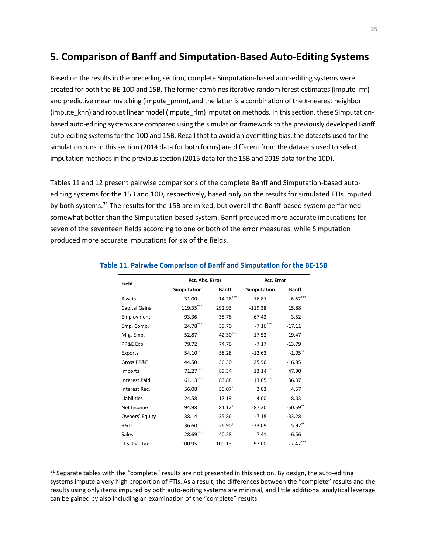# **5. Comparison of Banff and Simputation-Based Auto-Editing Systems**

Based on the results in the preceding section, complete Simputation-based auto-editing systems were created for both the BE-10D and 15B. The former combines iterative random forest estimates (impute\_mf) and predictive mean matching (impute\_pmm), and the latter is a combination of the *k*-nearest neighbor (impute\_knn) and robust linear model (impute\_rlm) imputation methods. In this section, these Simputationbased auto-editing systems are compared using the simulation framework to the previously developed Banff auto-editing systems for the 10D and 15B. Recall that to avoid an overfitting bias, the datasets used for the simulation runs in this section (2014 data for both forms) are different from the datasets used to select imputation methods in the previous section (2015 data for the 15B and 2019 data for the 10D).

Tables 11 and 12 present pairwise comparisons of the complete Banff and Simputation-based autoediting systems for the 15B and 10D, respectively, based only on the results for simulated FTIs imputed by both systems.<sup>31</sup> The results for the 15B are mixed, but overall the Banff-based system performed somewhat better than the Simputation-based system. Banff produced more accurate imputations for seven of the seventeen fields according to one or both of the error measures, while Simputation produced more accurate imputations for six of the fields.

| Field                | Pct. Abs. Error    |              | Pct. Error           |              |
|----------------------|--------------------|--------------|----------------------|--------------|
|                      | <b>Simputation</b> | <b>Banff</b> | <b>Simputation</b>   | <b>Banff</b> |
| Assets               | 31.00              | $14.26***$   | $-16.81$             | $-6.67***$   |
| Capital Gains        | 119.35***          | 292.93       | $-119.38$            | 15.88        |
| Employment           | 93.36              | 38.78        | 67.42                | $-3.52^{+}$  |
| Emp. Comp.           | 24.78***           | 39.70        | $-7.16***$           | $-17.11$     |
| Mfg. Emp.            | 52.87              | 42.30***     | $-17.52$             | $-19.47$     |
| PP&E Exp.            | 79.72              | 74.76        | $-7.17$              | $-13.79$     |
| Exports              | 54.10**            | 58.28        | $-12.63$             | $-1.05$ **   |
| Gross PP&E           | 44.50              | 36.30        | 25.96                | $-16.85$     |
| Imports              | 71.27***           | 89.34        | $13.14***$           | 47.90        |
| <b>Interest Paid</b> | $61.13***$         | 83.88        | 13.65***             | 36.37        |
| Interest Rec.        | 56.08              | 50.07        | 2.03                 | 4.57         |
| Liabilities          | 24.58              | 17.19        | 4.00                 | 8.03         |
| Net Income           | 94.98              | $81.12^{+}$  | $-87.20$             | $-50.59$ **  |
| Owners' Equity       | 38.14              | 35.86        | $-7.18$ <sup>*</sup> | $-33.28$     |
| R&D                  | 36.60              | $26.90+$     | $-23.09$             | $5.97**$     |
| Sales                | 28.69***           | 40.28        | 7.41                 | $-6.56$      |
| U.S. Inc. Tax        | 100.95             | 100.13       | 57.00                | $-27.47***$  |

#### **Table 11. Pairwise Comparison of Banff and Simputation for the BE-15B**

 $31$  Separate tables with the "complete" results are not presented in this section. By design, the auto-editing systems impute a very high proportion of FTIs. As a result, the differences between the "complete" results and the results using only items imputed by both auto-editing systems are minimal, and little additional analytical leverage can be gained by also including an examination of the "complete" results.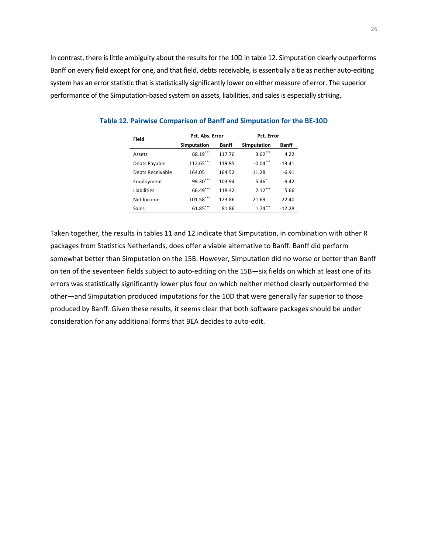In contrast, there is little ambiguity about the results for the 10D in table 12. Simputation clearly outperforms Banff on every field except for one, and that field, debts receivable, is essentially a tie as neither auto-editing system has an error statistic that is statistically significantly lower on either measure of error. The superior performance of the Simputation-based system on assets, liabilities, and sales is especially striking.

| Field            | Pct. Abs. Error |        | Pct. Error         |          |  |  |
|------------------|-----------------|--------|--------------------|----------|--|--|
|                  | Simputation     | Banff  | <b>Simputation</b> | Banff    |  |  |
| Assets           | 68.19***        | 117.76 | $3.62***$          | 4.22     |  |  |
| Debts Payable    | 112.65***       | 119.95 | $-0.04***$         | $-13.41$ |  |  |
| Debts Receivable | 164.05          | 164.52 | 11.28              | $-6.91$  |  |  |
| Employment       | $99.30***$      | 103.94 | $5.46*$            | $-9.42$  |  |  |
| Liabilities      | 66.49***        | 118.42 | $2.12***$          | 5.66     |  |  |
| Net Income       | 101.58***       | 123.86 | 21.69              | 22.40    |  |  |
| Sales            | $61.85***$      | 81.86  | $1.74***$          | $-12.28$ |  |  |

**Table 12. Pairwise Comparison of Banff and Simputation for the BE-10D** 

 consideration for any additional forms that BEA decides to auto-edit. Taken together, the results in tables 11 and 12 indicate that Simputation, in combination with other R packages from Statistics Netherlands, does offer a viable alternative to Banff. Banff did perform somewhat better than Simputation on the 15B. However, Simputation did no worse or better than Banff on ten of the seventeen fields subject to auto-editing on the 15B—six fields on which at least one of its errors was statistically significantly lower plus four on which neither method clearly outperformed the other—and Simputation produced imputations for the 10D that were generally far superior to those produced by Banff. Given these results, it seems clear that both software packages should be under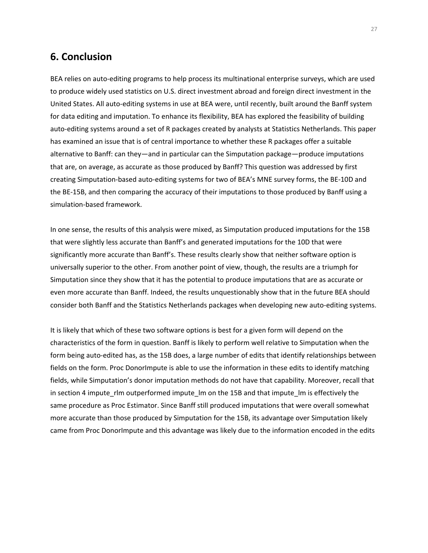# **6. Conclusion**

BEA relies on auto-editing programs to help process its multinational enterprise surveys, which are used to produce widely used statistics on U.S. direct investment abroad and foreign direct investment in the United States. All auto-editing systems in use at BEA were, until recently, built around the Banff system for data editing and imputation. To enhance its flexibility, BEA has explored the feasibility of building auto-editing systems around a set of R packages created by analysts at Statistics Netherlands. This paper has examined an issue that is of central importance to whether these R packages offer a suitable alternative to Banff: can they—and in particular can the Simputation package—produce imputations that are, on average, as accurate as those produced by Banff? This question was addressed by first creating Simputation-based auto-editing systems for two of BEA's MNE survey forms, the BE-10D and the BE-15B, and then comparing the accuracy of their imputations to those produced by Banff using a simulation-based framework.

In one sense, the results of this analysis were mixed, as Simputation produced imputations for the 15B that were slightly less accurate than Banff's and generated imputations for the 10D that were significantly more accurate than Banff's. These results clearly show that neither software option is universally superior to the other. From another point of view, though, the results are a triumph for Simputation since they show that it has the potential to produce imputations that are as accurate or even more accurate than Banff. Indeed, the results unquestionably show that in the future BEA should consider both Banff and the Statistics Netherlands packages when developing new auto-editing systems.

It is likely that which of these two software options is best for a given form will depend on the characteristics of the form in question. Banff is likely to perform well relative to Simputation when the form being auto-edited has, as the 15B does, a large number of edits that identify relationships between fields on the form. Proc DonorImpute is able to use the information in these edits to identify matching fields, while Simputation's donor imputation methods do not have that capability. Moreover, recall that in section 4 impute\_rlm outperformed impute\_lm on the 15B and that impute\_lm is effectively the same procedure as Proc Estimator. Since Banff still produced imputations that were overall somewhat more accurate than those produced by Simputation for the 15B, its advantage over Simputation likely came from Proc DonorImpute and this advantage was likely due to the information encoded in the edits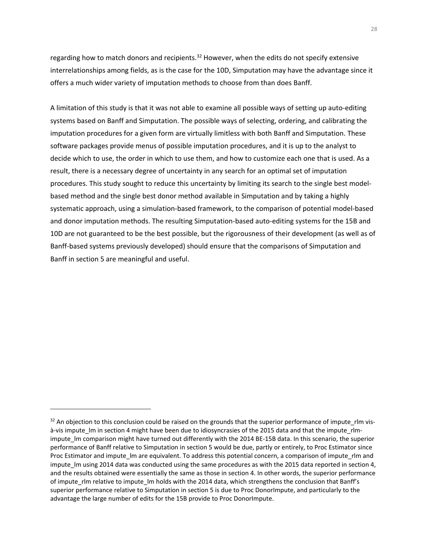regarding how to match donors and recipients.<sup>32</sup> However, when the edits do not specify extensive interrelationships among fields, as is the case for the 10D, Simputation may have the advantage since it offers a much wider variety of imputation methods to choose from than does Banff.

A limitation of this study is that it was not able to examine all possible ways of setting up auto-editing systems based on Banff and Simputation. The possible ways of selecting, ordering, and calibrating the imputation procedures for a given form are virtually limitless with both Banff and Simputation. These software packages provide menus of possible imputation procedures, and it is up to the analyst to decide which to use, the order in which to use them, and how to customize each one that is used. As a result, there is a necessary degree of uncertainty in any search for an optimal set of imputation procedures. This study sought to reduce this uncertainty by limiting its search to the single best modelbased method and the single best donor method available in Simputation and by taking a highly systematic approach, using a simulation-based framework, to the comparison of potential model-based and donor imputation methods. The resulting Simputation-based auto-editing systems for the 15B and 10D are not guaranteed to be the best possible, but the rigorousness of their development (as well as of Banff-based systems previously developed) should ensure that the comparisons of Simputation and Banff in section 5 are meaningful and useful.

 $32$  An objection to this conclusion could be raised on the grounds that the superior performance of impute rlm visà-vis impute\_lm in section 4 might have been due to idiosyncrasies of the 2015 data and that the impute\_rlmimpute Im comparison might have turned out differently with the 2014 BE-15B data. In this scenario, the superior performance of Banff relative to Simputation in section 5 would be due, partly or entirely, to Proc Estimator since Proc Estimator and impute\_lm are equivalent. To address this potential concern, a comparison of impute\_rlm and impute\_lm using 2014 data was conducted using the same procedures as with the 2015 data reported in section 4, and the results obtained were essentially the same as those in section 4. In other words, the superior performance of impute rlm relative to impute Im holds with the 2014 data, which strengthens the conclusion that Banff's superior performance relative to Simputation in section 5 is due to Proc DonorImpute, and particularly to the advantage the large number of edits for the 15B provide to Proc DonorImpute.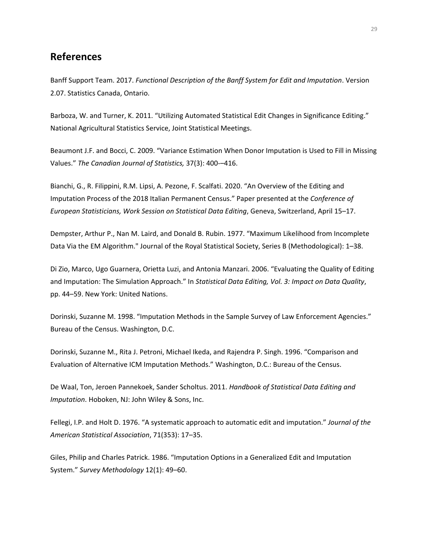# **References**

Banff Support Team. 2017. *Functional Description of the Banff System for Edit and Imputation*. Version 2.07. Statistics Canada, Ontario.

Barboza, W. and Turner, K. 2011. "Utilizing Automated Statistical Edit Changes in Significance Editing." National Agricultural Statistics Service, Joint Statistical Meetings.

Beaumont J.F. and Bocci, C. 2009. "Variance Estimation When Donor Imputation is Used to Fill in Missing Values." *The Canadian Journal of Statistics,* 37(3): 400-–416.

Bianchi, G., R. Filippini, R.M. Lipsi, A. Pezone, F. Scalfati. 2020. "An Overview of the Editing and Imputation Process of the 2018 Italian Permanent Census." Paper presented at the *Conference of European Statisticians, Work Session on Statistical Data Editing*, Geneva, Switzerland, April 15–17.

Dempster, Arthur P., Nan M. Laird, and Donald B. Rubin. 1977. "Maximum Likelihood from Incomplete Data Via the EM Algorithm." Journal of the Royal Statistical Society, Series B (Methodological): 1–38.

Di Zio, Marco, Ugo Guarnera, Orietta Luzi, and Antonia Manzari. 2006. "Evaluating the Quality of Editing and Imputation: The Simulation Approach." In *Statistical Data Editing, Vol. 3: Impact on Data Quality*, pp. 44–59. New York: United Nations.

Dorinski, Suzanne M. 1998. "Imputation Methods in the Sample Survey of Law Enforcement Agencies." Bureau of the Census. Washington, D.C.

Dorinski, Suzanne M., Rita J. Petroni, Michael Ikeda, and Rajendra P. Singh. 1996. "Comparison and Evaluation of Alternative ICM Imputation Methods." Washington, D.C.: Bureau of the Census.

De Waal, Ton, Jeroen Pannekoek, Sander Scholtus. 2011. *Handbook of Statistical Data Editing and Imputation*. Hoboken, NJ: John Wiley & Sons, Inc.

Fellegi, I.P. and Holt D. 1976. "A systematic approach to automatic edit and imputation." *Journal of the American Statistical Association*, 71(353): 17–35.

Giles, Philip and Charles Patrick. 1986. "Imputation Options in a Generalized Edit and Imputation System." *Survey Methodology* 12(1): 49–60.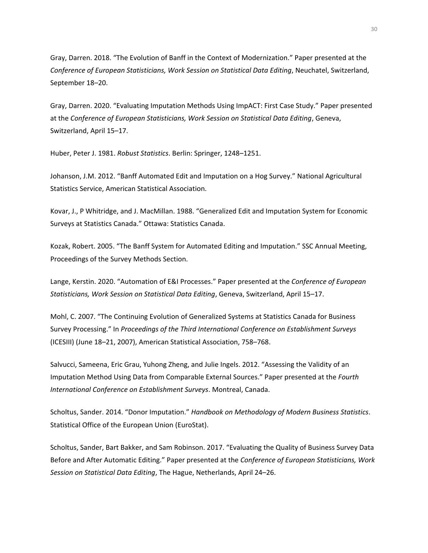Gray, Darren. 2018. "The Evolution of Banff in the Context of Modernization." Paper presented at the *Conference of European Statisticians, Work Session on Statistical Data Editing*, Neuchatel, Switzerland, September 18–20.

Gray, Darren. 2020. "Evaluating Imputation Methods Using ImpACT: First Case Study." Paper presented at the *Conference of European Statisticians, Work Session on Statistical Data Editing*, Geneva, Switzerland, April 15–17.

Huber, Peter J. 1981. *Robust Statistics*. Berlin: Springer, 1248–1251.

Johanson, J.M. 2012. "Banff Automated Edit and Imputation on a Hog Survey." National Agricultural Statistics Service, American Statistical Association.

Kovar, J., P Whitridge, and J. MacMillan. 1988. "Generalized Edit and Imputation System for Economic Surveys at Statistics Canada." Ottawa: Statistics Canada.

Kozak, Robert. 2005. "The Banff System for Automated Editing and Imputation." SSC Annual Meeting, Proceedings of the Survey Methods Section.

Lange, Kerstin. 2020. "Automation of E&I Processes." Paper presented at the *Conference of European Statisticians, Work Session on Statistical Data Editing*, Geneva, Switzerland, April 15–17.

Mohl, C. 2007. "The Continuing Evolution of Generalized Systems at Statistics Canada for Business Survey Processing." In *Proceedings of the Third International Conference on Establishment Surveys*  (ICESIII) (June 18–21, 2007), American Statistical Association, 758–768.

Salvucci, Sameena, Eric Grau, Yuhong Zheng, and Julie Ingels. 2012. "Assessing the Validity of an Imputation Method Using Data from Comparable External Sources." Paper presented at the *Fourth International Conference on Establishment Surveys*. Montreal, Canada.

Scholtus, Sander. 2014. "Donor Imputation." *Handbook on Methodology of Modern Business Statistics*. Statistical Office of the European Union (EuroStat).

Scholtus, Sander, Bart Bakker, and Sam Robinson. 2017. "Evaluating the Quality of Business Survey Data Before and After Automatic Editing." Paper presented at the *Conference of European Statisticians, Work Session on Statistical Data Editing*, The Hague, Netherlands, April 24–26.